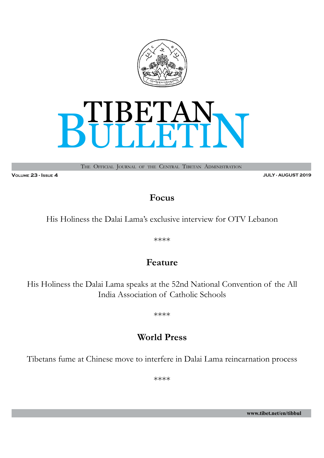



The Official Journal of the Central Tibetan Administration

**Volume 23 - Issue 4 JULY - AUGUST 2019**

## **Focus**

His Holiness the Dalai Lama's exclusive interview for OTV Lebanon

\*\*\*\*

# **Feature**

His Holiness the Dalai Lama speaks at the 52nd National Convention of the All India Association of Catholic Schools

\*\*\*\*

# **World Press**

Tibetans fume at Chinese move to interfere in Dalai Lama reincarnation process

\*\*\*\*

**www.tibet.net/en/tibbul**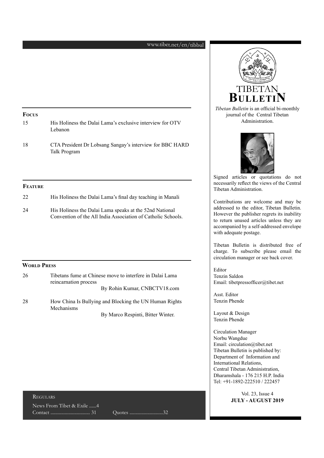### www.tibet.net/en/tibbul



*Tibetan Bulletin* is an official bi-monthly journal of the Central Tibetan **BulletiN**

Administration.



Signed articles or quotations do not necessarily reflect the views of the Central Tibetan Administration.

Contributions are welcome and may be addressed to the editor, Tibetan Bulletin. However the publisher regrets its inability to return unused articles unless they are accompanied by a self-addressed envelope with adequate postage.

Tibetan Bulletin is distributed free of charge. To subscribe please email the circulation manager or see back cover.

Editor Tenzin Saldon Email: tibetpressofficer@tibet.net

Asst. Editor Tenzin Phende

Layout & Design Tenzin Phende

Circulation Manager Norbu Wangdue Email: circulation@tibet.net Tibetan Bulletin is published by: Department of Information and International Relations, Central Tibetan Administration, Dharamshala - 176 215 H.P. India Tel: +91-1892-222510 / 222457

> Vol. 23, Issue 4 **JULY - AUGUST 2019**

| <b>Focus</b> |                                                                      |
|--------------|----------------------------------------------------------------------|
| -15          | His Holiness the Dalai Lama's exclusive interview for OTV<br>Lebanon |
| -18          | CTA President Dr Lobsang Sangay's interview for BBC HARD             |

### **Feature**

Talk Program

24 His Holiness the Dalai Lama speaks at the 52nd National Convention of the All India Association of Catholic Schools.

### **World Press**

| 26 |                       | Tibetans fume at Chinese move to interfere in Dalai Lama |
|----|-----------------------|----------------------------------------------------------|
|    | reincarnation process |                                                          |
|    |                       | By Rohin Kumar, CNBCTV18.com                             |
|    |                       |                                                          |

28 How China Is Bullying and Blocking the UN Human Rights Mechanisms

By Marco Respinti, Bitter Winter.

| REGULARS |  |
|----------|--|
|----------|--|

News From Tibet & Exile ......4 Contact ................................. 31 Quotes ............................32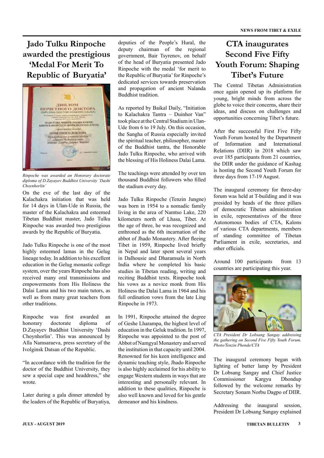# **Jado Tulku Rinpoche awarded the prestigious 'Medal For Merit To Republic of Buryatia'**



*Rinpoche was awarded an Honorary doctorate diploma of D.Zayayev Buddhist University 'Dashi Choynhorlin'*

On the eve of the last day of the Kalachakra initiation that was held for 14 days in Ulan-Ude in Russia, the master of the Kalachakra and esteemed Tibetan Buddhist master, Jado Tulku Rinpoche was awarded two prestigious awards by the Republic of Buryatia.

Jado Tulku Rinpoche is one of the most highly esteemed lamas in the Gelug lineage today. In addition to his excellent education in the Gelug monastic college system, over the years Rinpoche has also received many oral transmissions and empowerments from His Holiness the Dalai Lama and his two main tutors, as well as from many great teachers from other traditions.

Rinpoche was first awarded an honorary doctorate diploma of D.Zayayev Buddhist University 'Dashi Choynhorlin'. This was announced by Alla Namsaraeva, press secretary of the Ivolginsk Datsan of the Republic.

"In accordance with the tradition for the doctor of the Buddhist University, they sew a special cape and headdress," she wrote.

Later during a gala dinner attended by the leaders of the Republic of Buryatiya,

deputies of the People's Hural, the deputy chairman of the regional government, Bair Tsyrenov, on behalf of the head of Buryatia presented Jado Rinpoche with the medal 'for merit to the Republic of Buryatia' for Rinpoche's dedicated services towards preservation and propagation of ancient Nalanda Buddhist tradition.

As reported by Baikal Daily, "Initiation to Kalachakra Tantra – Duinhor Van" took place at the Central Stadium in Ulan-Ude from 6 to 19 July. On this occasion, the Sangha of Russia especially invited the spiritual teacher, philosopher, master of the Buddhist tantra, the Honorable Jado Tulku Rinpoche, who arrived with the blessing of His Holiness Dalai Lama.

The teachings were attended by over ten thousand Buddhist followers who filled the stadium every day.

Jado Tulku Rinpoche (Tenzin Jungne) was born in 1954 to a nomadic family living in the area of Namtso Lake, 220 kilometers north of Lhasa, Tibet. At the age of three, he was recognized and enthroned as the 6th incarnation of the abbot of Jhado Monastery. After fleeing Tibet in 1959, Rinpoche lived briefly in Nepal and later spent several years in Dalhousie and Dharamsala in North India where he completed his basic studies in Tibetan reading, writing and reciting Buddhist texts. Rinpoche took his vows as a novice monk from His Holiness the Dalai Lama in 1964 and his full ordination vows from the late Ling Rinpoche in 1973.

In 1991, Rinpoche attained the degree of Geshe Lharampa, the highest level of education in the Geluk tradition. In 1997, Rinpoche was appointed to the post of Abbot of Namgyal Monastery and served the institution in that capacity until 2004. Renowned for his keen intelligence and dynamic teaching style, Jhado Rinpoche is also highly acclaimed for his ability to engage Western students in ways that are interesting and personally relevant. In addition to these qualities, Rinpoche is also well known and loved for his gentle demeanor and his kindness.

# **CTA inaugurates Second Five Fifty Youth Forum: Shaping Tibet's Future**

The Central Tibetan Administration once again opened up its platform for young, bright minds from across the globe to voice their concerns, share their ideas, and discuss on challenges and opportunities concerning Tibet's future.

After the successful First Five Fifty Youth Forum hosted by the Department of Information and International Relations (DIIR) in 2018 which saw over 185 participants from 21 countries, the DIIR under the guidance of Kashag is hosting the Second Youth Forum for three days from 17-19 August.

The inaugural ceremony for three-day forum was held at T-building and it was presided by heads of the three pillars of democratic Tibetan administration in exile, representatives of the three Autonomous bodies of CTA, Kalons of various CTA departments, members of standing committee of Tibetan Parliament in exile, secretaries, and other officials.

Around 100 participants from 13 countries are participating this year.



*CTA President Dr Lobsang Sangay addressing the gathering on Second Five Fifty Youth Forum. Photo/Tenzin Phende/CTA*

The inaugural ceremony began with lighting of butter lamp by President Dr Lobsang Sangay and Chief Justice Commissioner Kargyu Dhondup followed by the welcome remarks by Secretary Sonam Norbu Dagpo of DIIR.

Addressing the inaugural session, President Dr Lobsang Sangay explained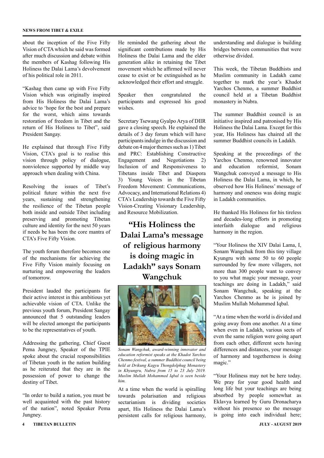### **NEWS FROM TIBET & EXILE**

about the inception of the Five Fifty Vision of CTA which he said was formed after much discussion and debate within the members of Kashag following His Holiness the Dalai Lama's devolvement of his political role in 2011.

"Kashag then came up with Five Fifty Vision which was originally inspired from His Holiness the Dalai Lama's advice to 'hope for the best and prepare for the worst, which aims towards restoration of freedom in Tibet and the return of His Holiness to Tibet", said President Sangay.

He explained that through Five Fifty Vision, CTA's goal is to realise this vision through policy of dialogue, nonviolence supported by middle way approach when dealing with China.

Resolving the issues of Tibet's political future within the next five years, sustaining snd strengthening the resilience of the Tibetan people both inside and outside Tibet including preserving and promoting Tibetan culture and identity for the next 50 years if needs be has been the core mantra of CTA's Five Fifty Vision.

The youth forum therefore becomes one of the mechanisms for achieving the Five Fifty Vision mainly focusing on nurturing and empowering the leaders of tomorrow.

President lauded the participants for their active interest in this ambitious yet achievable vision of CTA. Unlike the previous youth forum, President Sangay announced that 5 outstanding leaders will be elected amongst the participants to be the representatives of youth.

Addressing the gathering, Chief Guest Pema Jungney, Speaker of the TPIE spoke about the crucial responsibilities of Tibetan youth in the nation building as he reiterated that they are in the possession of power to change the destiny of Tibet.

"In order to build a nation, you must be well acquainted with the past history of the nation", noted Speaker Pema Jungney.

He reminded the gathering about the significant contributions made by His Holiness the Dalai Lama and the elder generation alike in retaining the Tibet movement which he affirmed will never cease to exist or be extinguished as he acknowledged their effort and struggle.

Speaker then congratulated the participants and expressed his good wishes.

Secretary Tsewang Gyalpo Arya of DIIR gave a closing speech. He explained the details of 3 day forum which will have participants indulge in the discussion and debate on 4 major themes such as 1) Tibet and PRC: Establishing Constructive Engagement and Negotiations 2) Inclusion of and Responsiveness to Tibetans inside Tibet and Diaspora 3) Young Voices in the Tibetan Freedom Movement: Communications, Advocacy, and International Relations 4) CTA's Leadership towards the Five Fifty Vision-Creating Visionary Leadership, and Resource Mobilization.

**"His Holiness the Dalai Lama's message of religious harmony is doing magic in Ladakh" says Sonam Wangchuk**



*Sonam Wangchuk, award-winning innovator and education reformist speaks at the Khadot Yarchos Chenmo festival, a summer Buddhist council being held at Drikung Kagyu Thongdolphug Monastery in Khyungru, Nubra from 15 to 23 July 2019. Muslim Mullah Mohammed Iqbal is seen beside him.*

At a time when the world is spiralling towards polarisation and religious sectarianism is dividing societies apart, His Holiness the Dalai Lama's persistent calls for religious harmony, understanding and dialogue is building bridges between communities that were otherwise divided.

This week, the Tibetan Buddhists and Muslim community in Ladakh came together to mark the year's Khadot Yarchos Chenmo, a summer Buddhist council held at a Tibetan Buddhist monastery in Nubra.

The summer Buddhist council is an initiative inspired and patronised by His Holiness the Dalai Lama. Except for this year, His Holiness has chaired all the summer Buddhist councils in Ladakh.

Speaking at the proceedings of the Yarchos Chenmo, renowned innovator and education reformist, Sonam Wangchuk conveyed a message to His Holiness the Dalai Lama, in which, he observed how His Holiness' message of harmony and oneness was doing magic in Ladakh communities.

He thanked His Holiness for his tireless and decades-long efforts in promoting interfaith dialogue and religious harmony in the region.

"Your Holiness the XIV Dalai Lama, I, Sonam Wangchuk from this tiny village Kyungru with some 50 to 60 people surrounded by few more villagers, not more than 300 people want to convey to you what magic your message, your teachings are doing in Ladakh," said Sonam Wangchuk, speaking at the Yarchos Chenmo as he is joined by Muslim Mullah Mohammed Iqbal.

"At a time when the world is divided and going away from one another. At a time when even in Ladakh, various sects of even the same religion were going apart from each other, different sects having differences and distances, your message of harmony and togetherness is doing magic."

"Your Holiness may not be here today. We pray for your good health and long life but your teachings are being absorbed by people somewhat as Eklavya learned by Guru Dronacharya without his presence so the message is going into each individual here;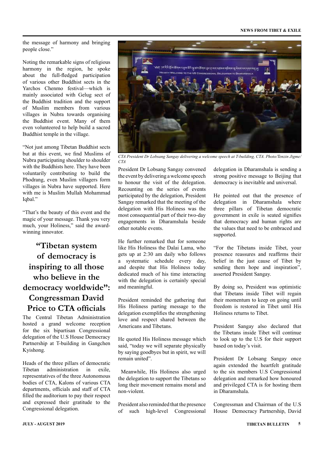the message of harmony and bringing people close."

Noting the remarkable signs of religious harmony in the region, he spoke about the full-fledged participation of various other Buddhist sects in the Yarchos Chenmo festival—which is mainly associated with Gelug sect of the Buddhist tradition and the support of Muslim members from various villages in Nubra towards organising the Buddhist event. Many of them even volunteered to help build a sacred Buddhist temple in the village.

"Not just among Tibetan Buddhist sects but at this event, we find Muslims of Nubra participating shoulder to shoulder with the Buddhists here. They have been voluntarily contributing to build the Phodrang, even Muslim villagers form villages in Nubra have supported. Here with me is Muslim Mullah Mohammad Ighal<sup>"</sup>

"That's the beauty of this event and the magic of your message. Thank you very much, your Holiness," said the awardwinning innovator.

**"Tibetan system of democracy is inspiring to all those who believe in the democracy worldwide": Congressman David Price to CTA officials**

The Central Tibetan Administration hosted a grand welcome reception for the six bipartisan Congressional delegation of the U.S House Democracy Partnership at T-building in Gangchen Kyishong.

Heads of the three pillars of democratic Tibetan administration in exile, representatives of the three Autonomous bodies of CTA, Kalons of various CTA departments, officials and staff of CTA filled the auditorium to pay their respect and expressed their gratitude to the Congressional delegation.



*CTA President Dr Lobsang Sangay delivering a welcome speech at T-building, CTA. Photo/Tenzin Jigme/ CTA*

President Dr Lobsang Sangay convened the event by delivering a welcome speech to honour the visit of the delegation. Recounting on the series of events participated by the delegation, President Sangay remarked that the meeting of the delegation with His Holiness was the most consequential part of their two-day engagements in Dharamshala beside other notable events.

He further remarked that for someone like His Holiness the Dalai Lama, who gets up at 2:30 am daily who follows a systematic schedule every day, and despite that His Holiness today dedicated much of his time interacting with the delegation is certainly special and meaningful.

President reminded the gathering that His Holiness parting message to the delegation exemplifies the strengthening love and respect shared between the Americans and Tibetans.

He quoted His Holiness message which said, "today we will separate physically by saying goodbyes but in spirit, we will remain united".

 Meanwhile, His Holiness also urged the delegation to support the Tibetans so long their movement remains moral and non-violent.

President also reminded that the presence of such high-level Congressional delegation in Dharamshala is sending a strong positive message to Beijing that democracy is inevitable and universal.

He pointed out that the presence of delegation in Dharamshala where three pillars of Tibetan democratic government in exile is seated signifies that democracy and human rights are the values that need to be embraced and supported.

"For the Tibetans inside Tibet, your presence reassures and reaffirms their belief in the just cause of Tibet by sending them hope and inspiration", asserted President Sangay.

By doing so, President was optimistic that Tibetans inside Tibet will regain their momentum to keep on going until freedom is restored in Tibet until His Holiness returns to Tibet.

President Sangay also declared that the Tibetans inside Tibet will continue to look up to the U.S for their support based on today's visit.

President Dr Lobsang Sangay once again extended the heartfelt gratitude to the six members U.S Congressional delegation and remarked how honoured and privileged CTA is for hosting them in Dharamshala.

Congressman and Chairman of the U.S House Democracy Partnership, David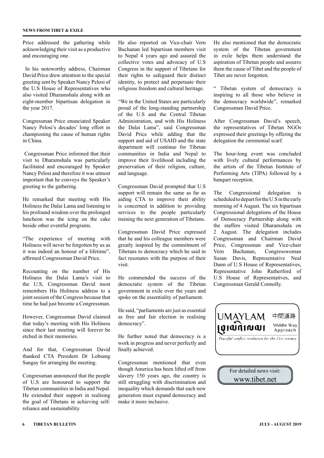Price addressed the gathering while acknowledging their visit as a productive and encouraging one.

 In his noteworthy address, Chairman David Price drew attention to the special greeting sent by Speaker Nancy Pelosi of the U.S House of Representatives who also visited Dharamshala along with an eight-member bipartisan delegation in the year 2017.

Congressman Price enunciated Speaker Nancy Pelosi's decades' long effort in championing the cause of human rights in China.

 Congressman Price informed that their visit to Dharamshala was particularly facilitated and encouraged by Speaker Nancy Pelosi and therefore it was utmost important that he conveys the Speaker's greeting to the gathering.

He remarked that meeting with His Holiness the Dalai Lama and listening to his profound wisdom over the prolonged luncheon was the icing on the cake beside other eventful programs.

"The experience of meeting with Holiness will never be forgotten by us as it was indeed an honour of a lifetime", affirmed Congressman David Price.

Recounting on the number of His Holiness the Dalai Lama's visit to the U.S, Congressman David most remembers His Holiness address to a joint session of the Congress because that time he had just become a Congressman.

However, Congressman David claimed that today's meeting with His Holiness since their last meeting will forever be etched in their memories.

And for that, Congressman David thanked CTA President Dr Lobsang Sangay for arranging the meeting.

Congressman announced that the people of U.S are honoured to support the Tibetan communities in India and Nepal. He extended their support in realising the goal of Tibetans in achieving selfreliance and sustainability.

He also reported on Vice-chair Vern Buchanan led bipartisan members visit to Nepal 4 years ago and assured the collective votes and advocacy of U.S Congress in the support of Tibetans for their rights to safeguard their distinct identity, to protect and perpetuate their religious freedom and cultural heritage.

"We in the United States are particularly proud of the long-standing partnership of the U.S and the Central Tibetan Administration, and with His Holiness the Dalai Lama", said Congressman David Price while adding that the support and aid of USAID and the state department will continue for Tibetan communities in India and Nepal to improve their livelihood including the preservation of their religion, culture, and language.

Congressman David prompted that U.S support will remain the same as far as aiding CTA to improve their ability is concerned in addition to providing services to the people particularly training the next generation of Tibetans.

Congressman David Price expressed that he and his colleague members were greatly inspired by the commitment of Tibetans to democracy which he said in fact resonates with the purpose of their visit.

He commended the success of the democratic system of the Tibetan government in exile over the years and spoke on the essentiality of parliament.

He said, "parliaments are just as essential as free and fair election in realising democracy".

He further noted that democracy is a work in progress and never perfectly and finally achieved.

Congressman mentioned that even though America has been lifted off from slavery 150 years ago, the country is still struggling with discrimination and inequality which demands that each new generation must expand democracy and make it more inclusive.

He also mentioned that the democratic system of the Tibetan government in exile helps them understand the aspiration of Tibetan people and assures them the cause of Tibet and the people of Tibet are never forgotten.

" Tibetan system of democracy is inspiring to all those who believe in the democracy worldwide", remarked Congressman David Price.

After Congressman David's speech, the representatives of Tibetan NGOs expressed their greetings by offering the delegation the ceremonial scarf.

The hour-long event was concluded with lively cultural performances by the artists of the Tibetan Institute of Performing Arts (TIPA) followed by a banquet reception.

The Congressional delegation is scheduled to depart for the U.S in the early morning of 4 August. The six bipartisan Congressional delegations of the House of Democracy Partnership along with the staffers visited Dharamshala on 2 August. The delegation includes Congressman and Chairman David Price, Congressman and Vice-chair Vern Buchanan, Congresswoman Susan Davis, Representative Neal Dunn of U.S House of Representatives, Representative John Rutherford of U.S House of Representatives, and Congressman Gerald Connolly.



www.tibet.net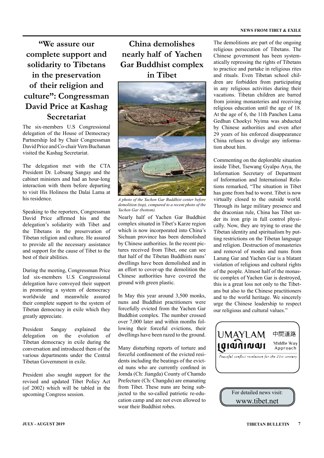**"We assure our complete support and solidarity to Tibetans in the preservation of their religion and culture": Congressman David Price at Kashag Secretariat**

The six-members U.S Congressional delegation of the House of Democracy Partnership led by Chair Congressman David Price and Co-chair Vern Buchanan visited the Kashag Secretariat.

The delegation met with the CTA President Dr. Lobsang Sangay and the cabinet ministers and had an hour-long interaction with them before departing to visit His Holiness the Dalai Lama at his residence.

Speaking to the reporters, Congressman David Price affirmed his and the delegation's solidarity with Tibet and the Tibetans in the preservation of Tibetan religion and culture. He assured to provide all the necessary assistance and support for the cause of Tibet to the best of their abilities.

During the meeting, Congressman Price led six-members U.S Congressional delegation have conveyed their support in promoting a system of democracy worldwide and meanwhile assured their complete support to the system of Tibetan democracy in exile which they greatly appreciate.

President Sangay explained the delegation on the evolution of Tibetan democracy in exile during the conversation and introduced them of the various departments under the Central Tibetan Government in exile.

President also sought support for the revised and updated Tibet Policy Act (of 2002) which will be tabled in the upcoming Congress session.

**China demolishes nearly half of Yachen Gar Buddhist complex in Tibet**



*A photo of the Yachen Gar Buddhist center before demolition (top), compared to a recent photo of the Yachen Gar (bottom).*

Nearly half of Yachen Gar Buddhist complex situated in Tibet's Karze region which is now incorporated into China's Sichuan province has been demolished by Chinese authorities. In the recent pictures received from Tibet, one can see that half of the Tibetan Buddhists nuns' dwellings have been demolished and in an effort to cover-up the demolition the Chinese authorities have covered the ground with green plastic.

In May this year around 3,500 monks, nuns and Buddhist practitioners were forcefully evicted from the Yachen Gar Buddhist complex. The number crossed over 7,000 later and within months following their forceful evictions, their dwellings have been razed to the ground.

Many disturbing reports of torture and forceful confinement of the evicted residents including the beatings of the evicted nuns who are currently confined in Jomda (Ch: Jiangda) County of Chamdo Prefecture (Ch: Changdu) are emanating from Tibet. These nuns are being subjected to the so-called patriotic re-education camp and are not even allowed to wear their Buddhist robes.

The demolitions are part of the ongoing religious persecution of Tibetans. The Chinese government has been systematically repressing the rights of Tibetans to practice and partake in religious rites and rituals. Even Tibetan school children are forbidden from participating in any religious activities during their vacations. Tibetan children are barred from joining monasteries and receiving religious education until the age of 18. At the age of 6, the 11th Panchen Lama Gedhun Choekyi Nyima was abducted by Chinese authorities and even after 29 years of his enforced disappearance China refuses to divulge any information about him.

Commenting on the deplorable situation inside Tibet, Tsewang Gyalpo Arya, the Information Secretary of Department of Information and International Relations remarked, "The situation in Tibet has gone from bad to worst. Tibet is now virtually closed to the outside world. Through its large military presence and the draconian rule, China has Tibet under its iron grip in full control physically. Now, they are trying to erase the Tibetan identity and spiritualism by putting restrictions on the Tibetan language and religion. Destruction of monasteries and removal of monks and nuns from Larung Gar and Yachen Gar is a blatant violation of religious and cultural rights of the people. Almost half of the monastic complex of Yachen Gar is destroyed, this is a great loss not only to the Tibetans but also to the Chinese practitioners and to the world heritage. We sincerely urge the Chinese leadership to respect our religious and cultural values."



For detailed news visit: www.tibet.net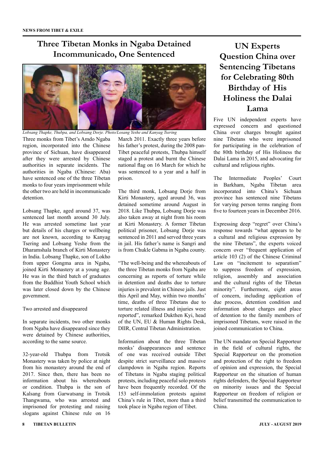### **Three Tibetan Monks in Ngaba Detained Incommunicado, One Sentenced**



Three monks from Tibet's Amdo Ngaba region, incorporated into the Chinese province of Sichuan, have disappeared after they were arrested by Chinese authorities in separate incidents. The authorities in Ngaba (Chinese: Aba) have sentenced one of the three Tibetan monks to four years imprisonment while the other two are held in incommunicado detention. *Lobsang Thapke, Thubpa, and Lobsang Dorje. Photo/Losang Yeshe and Kanyag Tsering*

Lobsang Thapke, aged around 37, was sentenced last month around 30 July. He was arrested sometime last year but details of his charges or wellbeing are not known, according to Kanyag Tsering and Lobsang Yeshe from the Dharamshala branch of Kirti Monastery in India. Lobsang Thapke, son of Lokho from upper Gongma area in Ngaba, joined Kirti Monastery at a young age. He was in the third batch of graduates from the Buddhist Youth School which was later closed down by the Chinese government.

Two arrested and disappeared

In separate incidents, two other monks from Ngaba have disappeared since they were detained by Chinese authorities, according to the same source.

32-year-old Thubpa from Trotsik Monastery was taken by police at night from his monastery around the end of 2017. Since then, there has been no information about his whereabouts or condition. Thubpa is the son of Kalsang from Garwatsang in Trotsik Thangwama, who was arrested and imprisoned for protesting and raising slogans against Chinese rule on 16 March 2011. Exactly three years before his father's protest, during the 2008 pan-Tibet peaceful protests, Thubpa himself staged a protest and burnt the Chinese national flag on 16 March for which he was sentenced to a year and a half in prison.

The third monk, Lobsang Dorje from Kirti Monastery, aged around 36, was detained sometime around August in 2018. Like Thubpa, Lobsang Dorje was also taken away at night from his room at Kirti Monastery. A former Tibetan political prisoner, Lobsang Dorje was sentenced in 2011 and served three years in jail. His father's name is Sangri and is from Chukle Gabma in Ngaba county.

"The well-being and the whereabouts of the three Tibetan monks from Ngaba are concerning as reports of torture while in detention and deaths due to torture injuries is prevalent in Chinese jails. Just this April and May, within two months' time, deaths of three Tibetans due to torture related illness and injuries were reported", remarked Dukthen Kyi, head of the UN, EU & Human Rights Desk, DIIR, Central Tibetan Administration.

Information about the three Tibetan monks' disappearances and sentence of one was received outside Tibet despite strict surveillance and massive clampdown in Ngaba region. Reports of Tibetans in Ngaba staging political protests, including peaceful solo protests have been frequently recorded. Of the 153 self-immolation protests against China's rule in Tibet, more than a third took place in Ngaba region of Tibet.

# **UN Experts Question China over Sentencing Tibetans for Celebrating 80th Birthday of His Holiness the Dalai Lama**

Five UN independent experts have expressed concern and questioned China over charges brought against nine Tibetans who were imprisoned for participating in the celebration of the 80th birthday of His Holiness the Dalai Lama in 2015, and advocating for cultural and religious rights.

The Intermediate Peoples' Court in Barkham, Ngaba Tibetan area incorporated into China's Sichuan province has sentenced nine Tibetans for varying person terms ranging from five to fourteen years in December 2016.

Expressing deep "regret" over China's response towards "what appears to be a cultural and religious expression by the nine Tibetans", the experts voiced concern over "frequent application of article 103 (2) of the Chinese Criminal Law on "incitement to separatism" to suppress freedom of expression, religion, assembly and association and the cultural rights of the Tibetan minority". Furthermore, eight areas of concern, including application of due process, detention condition and information about charges and place of detention to the family members of imprisoned Tibetans, were raised in the joined communication to China.

The UN mandate on Special Rapporteur in the field of cultural rights, the Special Rapporteur on the promotion and protection of the right to freedom of opinion and expression, the Special Rapporteur on the situation of human rights defenders, the Special Rapporteur on minority issues and the Special Rapporteur on freedom of religion or belief transmitted the communication to China.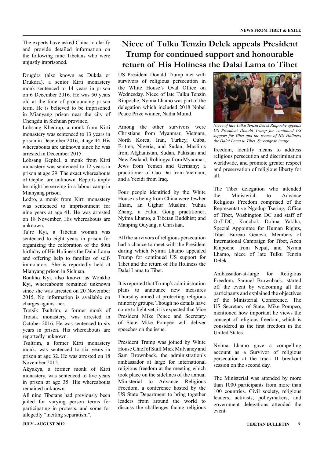The experts have asked China to clarify and provide detailed information on the following nine Tibetans who were unjustly imprisoned.

Drugdra (also known as Dukda or Drukdra), a senior Kirti monastery monk sentenced to 14 years in prison on 6 December 2016. He was 50 years old at the time of pronouncing prison term. He is believed to be imprisoned in Mianyang prison near the city of Chengdu in Sichuan province.

Lobsang Khedrup, a monk from Kirti monastery was sentenced to 13 years in prison in December 2016, at age 44. His whereabouts are unknown since he was arrested in December 2015.

Lobsang Gephel, a monk from Kirti monastery was sentenced to 12 years in prison at age 29. The exact whereabouts of Gephel are unknown. Reports imply he might be serving in a labour camp in Mianyang prison.

Lodro, a monk from Kirti monastery was sentenced to imprisonment for nine years at age 41. He was arrested on 18 November. His whereabouts are unknown.

Ta're Kyi, a Tibetan woman was sentenced to eight years in prison for organizing the celebration of the 80th birthday of His Holiness the Dalai Lama and offering help to families of selfimmolators. She is reportedly held at Mianyang prison in Sichuan.

Bonkho Kyi, also known as Wonkho Kyi, whereabouts remained unknown since she was arrested on 20 November 2015. No information is available on charges against her.

Trotsik Tsultrim, a former monk of Trotsik monastery, was arrested in October 2016. He was sentenced to six years in prison. His whereabouts are reportedly unknown.

Tsultrim, a former Kirti monastery monk, was sentenced to six years in prison at age 32. He was arrested on 18 November 2015.

Akyakya, a former monk of Kirti monastery, was sentenced to five years in prison at age 35. His whereabouts remained unknown.

All nine Tibetans had previously been jailed for varying person terms for participating in protests, and some for allegedly "inciting separatism".

# **Niece of Tulku Tenzin Delek appeals President Trump for continued support and honourable return of His Holiness the Dalai Lama to Tibet**

US President Donald Trump met with survivors of religious persecution in the White House's Oval Office on Wednesday. Niece of late Tulku Tenzin Rinpoche, Nyima Lhamo was part of the delegation which included 2018 Nobel Peace Prize winner, Nadia Murad.

Among the other survivors were Christians from Myanmar, Vietnam, North Korea, Iran, Turkey, Cuba, Eritrea, Nigeria, and Sudan; Muslims from Afghanistan, Sudan, Pakistan and New Zealand; Rohingya from Myanmar; Jews from Yemen and Germany; a practitioner of Cao Dai from Vietnam; and a Yezidi from Iraq.

Four people identified by the White House as being from China were Jewher Ilham, an Uighur Muslim; Yuhua Zhang, a Falun Gong practitioner; Nyima Lhamo, a Tibetan Buddhist; and Manping Ouyang, a Christian.

All the survivors of religious persecution had a chance to meet with the President during which Nyima Lhamo appealed Trump for continued US support for Tibet and the return of His Holiness the Dalai Lama to Tibet.

It is reported that Trump's administration plans to announce new measures Thursday aimed at protecting religious minority groups. Though no details have come to light yet, it is expected that Vice President Mike Pence and Secretary of State Mike Pompeo will deliver speeches on the issue.

President Trump was joined by White House Chief of Staff Mick Mulvaney and Sam Brownback, the administration's ambassador at large for international religious freedom at the meeting which took place on the sidelines of the annual Ministerial to Advance Religious Freedom, a conference hosted by the US State Department to bring together leaders from around the world to discuss the challenges facing religious



*Niece of late Tulku Tenzin Delek Rinpoche appeals US President Donald Trump for continued US support for Tibet and the return of His Holiness the Dalai Lama to Tibet. Screengrab image*

freedom, identify means to address religious persecution and discrimination worldwide, and promote greater respect and preservation of religious liberty for all.

The Tibet delegation who attended the Ministerial to Advance Religious Freedom comprised of the Representative Ngodup Tsering, Office of Tibet, Washington DC and staff of OoT-DC, Kunchok Dolma Yaklha, Special Appointee for Human Rights, Tibet Bureau Geneva, Members of International Campaign for Tibet, Azen Rinpoche from Nepal, and Nyima Lhamo, niece of late Tulku Tenzin Delek.

Ambassador-at-large for Religious Freedom, Samuel Brownback, started off the event by welcoming all the participants and explained the objectives of the Ministerial Conference. The US Secretary of State, Mike Pompeo, mentioned how important he views the concept of religious freedom, which is considered as the first freedom in the United States.

Nyima Lhamo gave a compelling account as a Survivor of religious persecution at the track II breakout session on the second day.

The Ministerial was attended by more than 1000 participants from more than 100 countries. Civil society, religious leaders, activists, policymakers, and government delegations attended the event.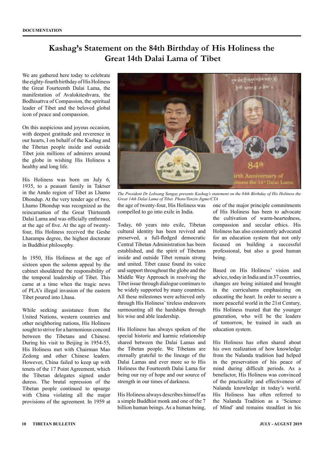### **Kashag's Statement on the 84th Birthday of His Holiness the Great 14th Dalai Lama of Tibet**

We are gathered here today to celebrate the eighty-fourth birthday of His Holiness the Great Fourteenth Dalai Lama, the manifestation of Avalokiteshvara, the Bodhisattva of Compassion, the spiritual leader of Tibet and the beloved global icon of peace and compassion.

On this auspicious and joyous occasion, with deepest gratitude and reverence in our hearts, I on behalf of the Kashag and the Tibetan people inside and outside Tibet join millions of admirers around the globe in wishing His Holiness a healthy and long life.

His Holiness was born on July 6, 1935, to a peasant family in Taktser in the Amdo region of Tibet as Lhamo Dhondup. At the very tender age of two, Lhamo Dhondup was recognized as the reincarnation of the Great Thirteenth Dalai Lama and was officially enthroned at the age of five. At the age of twentyfour, His Holiness received the Geshe Lharampa degree, the highest doctorate in Buddhist philosophy.

In 1950, His Holiness at the age of sixteen upon the solemn appeal by the cabinet shouldered the responsibility of the temporal leadership of Tibet. This came at a time when the tragic news of PLA's illegal invasion of the eastern Tibet poured into Lhasa.

While seeking assistance from the United Nations, western countries and other neighboring nations, His Holiness sought to strive for a harmonious concord between the Tibetans and Chinese. During his visit to Beijing in 1954-55, His Holiness met with Chairman Mao Zedong and other Chinese leaders. However, China failed to keep up with tenets of the 17 Point Agreement, which the Tibetan delegates signed under duress. The brutal repression of the Tibetan people continued to upsurge with China violating all the major provisions of the agreement. In 1959 at



the age of twenty-four, His Holiness was *The President Dr Lobsang Sangay presents Kashag's statement on the 84th Birthday of His Holiness the Great 14th Dalai Lama of Tibet. Photo/Tenzin Jigme/CTA*

compelled to go into exile in India.

Today, 60 years into exile, Tibetan cultural identity has been revived and preserved, a full-fledged democratic Central Tibetan Administration has been established, and the spirit of Tibetans inside and outside Tibet remain strong and united. Tibet cause found its voice and support throughout the globe and the Middle Way Approach in resolving the Tibet issue through dialogue continues to be widely supported by many countries. All these milestones were achieved only through His Holiness' tireless endeavors surmounting all the hardships through his wise and able leadership.

His Holiness has always spoken of the special historic and karmic relationship shared between the Dalai Lamas and the Tibetan people. We Tibetans are eternally grateful to the lineage of the Dalai Lamas and ever more so to His Holiness the Fourteenth Dalai Lama for being our ray of hope and our source of strength in our times of darkness.

His Holiness always describes himself as a simple Buddhist monk and one of the 7 billion human beings. As a human being, one of the major principle commitments of His Holiness has been to advocate the cultivation of warm-heartedness, compassion and secular ethics. His Holiness has also consistently advocated for an education system that not only focused on building a successful professional, but also a good human being.

Based on His Holiness' vision and advice, today in India and in 37 countries, changes are being initiated and brought in the curriculums emphasizing on educating the heart. In order to secure a more peaceful world in the 21st Century, His Holiness trusted that the younger generation, who will be the leaders of tomorrow, be trained in such an education system.

His Holiness has often shared about his own realization of how knowledge from the Nalanda tradition had helped in the preservation of his peace of mind during difficult periods. As a benefactor, His Holiness was convinced of the practicality and effectiveness of Nalanda knowledge in today's world. His Holiness has often referred to the Nalanda Tradition as a 'Science of Mind' and remains steadfast in his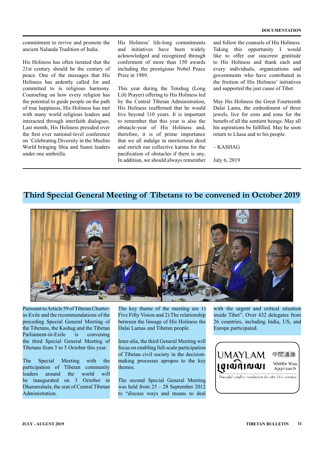commitment to revive and promote the ancient Nalanda Tradition of India.

His Holiness has often iterated that the 21st century should be the century of peace. One of the messages that His Holiness has ardently called for and committed to is religious harmony. Counseling on how every religion has the potential to guide people on the path of true happiness, His Holiness has met with many world religious leaders and interacted through interfaith dialogues. Last month, His Holiness presided over the first ever national-level conference on 'Celebrating Diversity in the Muslim World bringing Shia and Sunni leaders under one umbrella.

His Holiness' life-long commitments and initiatives have been widely acknowledged and recognized through conferment of more than 150 awards including the prestigious Nobel Peace Prize in 1989.

This year during the Tenshug (Long Life Prayer) offering to His Holiness led by the Central Tibetan Administration, His Holiness reaffirmed that he would live beyond 110 years. It is important to remember that this year is also the obstacle-year of His Holiness and, therefore, it is of prime importance that we all indulge in meritorious deed and enrich our collective karma for the pacification of obstacles if there is any. In addition, we should always remember

and follow the counsels of His Holiness. Taking this opportunity I would like to offer our sincerest gratitude to His Holiness and thank each and every individuals, organizations and governments who have contributed in the fruition of His Holiness' initiatives and supported the just cause of Tibet.

May His Holiness the Great Fourteenth Dalai Lama, the embodiment of three jewels, live for eons and eons for the benefit of all the sentient beings. May all his aspirations be fulfilled. May he soon return to Lhasa and to his people.

– KASHAG

July 6, 2019

### **Third Special General Meeting of Tibetans to be convened in October 2019**



Pursuant to Article 59 of Tibetan Charterin-Exile and the recommendations of the preceding Special General Meeting of the Tibetans, the Kashag and the Tibetan Parliament-in-Exile is convening the third Special General Meeting of Tibetans from 3 to 5 October this year.

The Special Meeting with the participation of Tibetan community leaders around the world will be inaugurated on 3 October in Dharamshala, the seat of Central Tibetan Administration.

The key theme of the meeting are 1) Five Fifty Vision and 2) The relationship between the lineage of His Holiness the Dalai Lamas and Tibetan people.

Inter-alia, the third General Meeting will focus on enabling full-scale participation of Tibetan civil society in the decisionmaking processes apropos to the key themes.

The second Special General Meeting was held from 25 – 28 September 2012 to "discuss ways and means to deal with the urgent and critical situation inside Tibet". Over 432 delegates from 26 countries, including India, US, and Europe participated.

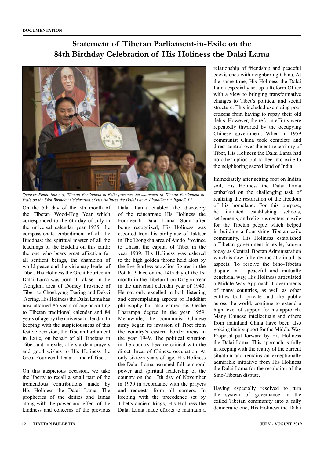### **Statement of Tibetan Parliament-in-Exile on the 84th Birthday Celebration of His Holiness the Dalai Lama**



*Speaker Pema Jungney, Tibetan Parliament-in-Exile presents the statement of Tibetan Parliament-in-Exile on the 84th Birthday Celebration of His Holiness the Dalai Lama. Photo/Tenzin Jigme/CTA*

On the 5th day of the 5th month of the Tibetan Wood-Hog Year which corresponded to the 6th day of July in the universal calendar year 1935, the compassionate embodiment of all the Buddhas; the spiritual master of all the teachings of the Buddha on this earth; the one who bears great affection for all sentient beings, the champion of world peace and the visionary leader of Tibet, His Holiness the Great Fourteenth Dalai Lama was born at Taktser in the Tsongkha area of Domey Province of Tibet to Choekyong Tsering and Dekyi Tsering. His Holiness the Dalai Lama has now attained 85 years of age according to Tibetan traditional calendar and 84 years of age by the universal calendar. In keeping with the auspiciousness of this festive occasion, the Tibetan Parliament in Exile, on behalf of all Tibetans in Tibet and in exile, offers ardent prayers and good wishes to His Holiness the Great Fourteenth Dalai Lama of Tibet.

On this auspicious occasion, we take the liberty to recall a small part of the tremendous contributions made by His Holiness the Dalai Lama. The prophecies of the deities and lamas along with the power and effect of the kindness and concerns of the previous

Dalai Lama enabled the discovery of the reincarnate His Holiness the Fourteenth Dalai Lama. Soon after being recognized, His Holiness was escorted from his birthplace of Taktser in The Tsongkha area of Amdo Province to Lhasa, the capital of Tibet in the year 1939. His Holiness was ushered to the high golden throne held aloft by the five fearless snowlion figures in the Potala Palace on the 14th day of the 1st month in the Tibetan Iron-Dragon Year in the universal calendar year of 1940. He not only excelled in both listening and contemplating aspects of Buddhist philosophy but also earned his Geshe Lharampa degree in the year 1959. Meanwhile, the communist Chinese army began its invasion of Tibet from the country's eastern border areas in the year 1949. The political situation in the country became critical with the direct threat of Chinese occupation. At only sixteen years of age, His Holiness the Dalai Lama assumed full temporal power and spiritual leadership of the country on the 17th day of November in 1950 in accordance with the prayers and requests from all corners. In keeping with the precedence set by Tibet's ancient kings, His Holiness the Dalai Lama made efforts to maintain a

relationship of friendship and peaceful coexistence with neighboring China. At the same time, His Holiness the Dalai Lama especially set up a Reform Office with a view to bringing transformative changes to Tibet's political and social structure. This included exempting poor citizens from having to repay their old debts. However, the reform efforts were repeatedly thwarted by the occupying Chinese government. When in 1959 communist China took complete and direct control over the entire territory of Tibet, His Holiness the Dalai Lama had no other option but to flee into exile to the neighboring sacred land of India.

Immediately after setting foot on Indian soil, His Holiness the Dalai Lama embarked on the challenging task of realizing the restoration of the freedom of his homeland. For this purpose, he initiated establishing schools, settlements, and religious centers in exile for the Tibetan people which helped in building a flourishing Tibetan exile community. His Holiness established a Tibetan government in exile, known today as Central Tibetan Administration which is now fully democratic in all its aspects. To resolve the Sino-Tibetan dispute in a peaceful and mutually beneficial way, His Holiness articulated a Middle Way Approach. Governments of many countries, as well as other entities both private and the public across the world, continue to extend a high level of support for his approach. Many Chinese intellectuals and others from mainland China have been also voicing their support for the Middle Way Proposal put forward by His Holiness the Dalai Lama. This approach is fully in keeping with the reality of the current situation and remains an exceptionally admirable initiative from His Holiness the Dalai Lama for the resolution of the Sino-Tibetan dispute.

Having especially resolved to turn the system of governance in the exiled Tibetan community into a fully democratic one, His Holiness the Dalai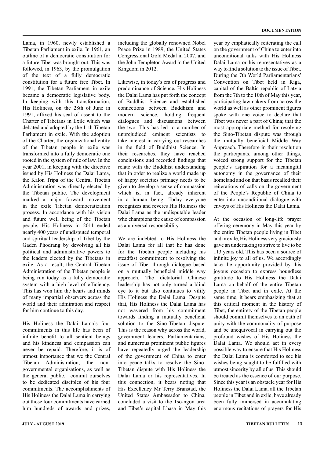Lama, in 1960, newly established a Tibetan Parliament in exile. In 1961, an outline of a democratic constitution for a future Tibet was brought out. This was followed, in 1963, by the promulgation of the text of a fully democratic constitution for a future free Tibet. In 1991, the Tibetan Parliament in exile became a democratic legislative body. In keeping with this transformation, His Holiness, on the 28th of June in 1991, affixed his seal of assent to the Charter of Tibetans in Exile which was debated and adopted by the 11th Tibetan Parliament in exile. With the adoption of the Charter, the organizational entity of the Tibetan people in exile was transformed into a fully democratic one rooted in the system of rule of law. In the year 2001, in keeping with the directive issued by His Holiness the Dalai Lama, the Kalon Tripa of the Central Tibetan Administration was directly elected by the Tibetan public. The development marked a major forward movement in the exile Tibetan democratization process. In accordance with his vision and future well being of the Tibetan people, His Holiness in 2011 ended nearly 400 years of undisputed temporal and spiritual leadership of Tibet by the Gaden Phodrang by devolving all his political and administrative powers to the leaders elected by the Tibetans in exile. As a result, the Central Tibetan Administration of the Tibetan people is being run today as a fully democratic system with a high level of efficiency. This has won him the hearts and minds of many impartial observers across the world and their admiration and respect for him continue to this day.

His Holiness the Dalai Lama's four commitments in this life has been of infinite benefit to all sentient beings and his kindness and compassion can never be repaid. Therefore, it is of utmost importance that we the Central Tibetan Administration, the nongovernmental organisations, as well as the general public, commit ourselves to be dedicated disciples of his four commitments. The accomplishments of His Holiness the Dalai Lama in carrying out those four commitments have earned him hundreds of awards and prizes,

including the globally renowned Nobel Peace Prize in 1989, the United States Congressional Gold Medal in 2007, and the John Templeton Award in the United Kingdom in 2012.

Likewise, in today's era of progress and predominance of Science, His Holiness the Dalai Lama has put forth the concept of Buddhist Science and established connections between Buddhism and modern science, holding frequent dialogues and discussions between the two. This has led to a number of unprejudiced eminent scientists to take interest in carrying out researches in the field of Buddhist Science. In their researches, they have reached conclusions and recorded findings that relate with the Buddhist understanding that in order to realize a world made up of happy societies primacy needs to be given to develop a sense of compassion which is, in fact, already inherent in a human being. Today everyone recognizes and reveres His Holiness the Dalai Lama as the undisputable leader who champions the cause of compassion as a universal responsibility.

We are indebted to His Holiness the Dalai Lama for all that he has done for the Tibetan people including his steadfast commitment to resolving the issue of Tibet through dialogue based on a mutually beneficial middle way approach. The dictatorial Chinese leadership has not only turned a blind eye to it but also continues to vilify His Holiness the Dalai Lama. Despite that, His Holiness the Dalai Lama has not wavered from his commitment towards finding a mutually beneficial solution to the Sino-Tibetan dispute. This is the reason why across the world, government leaders, Parliamentarians, and numerous prominent public figures have repeatedly urged the leadership of the government of China to enter into peace talks to resolve the Sino-Tibetan dispute with His Holiness the Dalai Lama or his representatives. In this connection, it bears noting that His Excellency Mr Terry Branstad, the United States Ambassador to China, concluded a visit to the Tso-ngon area and Tibet's capital Lhasa in May this year by emphatically reiterating the call on the government of China to enter into unconditional talks with His Holiness Dalai Lama or his representatives as a way to find a solution to the issue of Tibet. During the 7th World Parliamentarians' Convention on Tibet held in Riga, capital of the Baltic republic of Latvia from the 7th to the 10th of May this year, participating lawmakers from across the world as well as other prominent figures spoke with one voice to declare that Tibet was never a part of China; that the most appropriate method for resolving the Sino-Tibetan dispute was through the mutually beneficial Middle Way Approach. Therefore in their resolution the participants, among other things, voiced strong support for the Tibetan people's aspiration for a meaningful autonomy in the governance of their homeland and on that basis recalled their reiterations of calls on the government of the People's Republic of China to enter into unconditional dialogue with envoys of His Holiness the Dalai Lama.

At the occasion of long-life prayer offering ceremony in May this year by the entire Tibetan people living in Tibet and in exile, His Holiness very graciously gave an undertaking to strive to live to be 113 years old. This has been a source of infinite joy to all of us. We accordingly take the opportunity provided by this joyous occasion to express boundless gratitude to His Holiness the Dalai Lama on behalf of the entire Tibetan people in Tibet and in exile. At the same time, it bears emphasizing that at this critical moment in the history of Tibet, the entirety of the Tibetan people should commit themselves to an oath of unity with the commonality of purpose and be unequivocal in carrying out the profound wishes of His Holiness the Dalai Lama. We should act in every possible way to ensure that His Holiness the Dalai Lama is comforted to see his wishes being sought to be fulfilled with utmost sincerity by all of us. This should be treated as the essence of our purpose. Since this year is an obstacle year for His Holiness the Dalai Lama, all the Tibetan people in Tibet and in exile, have already been fully immersed in accumulating enormous recitations of prayers for His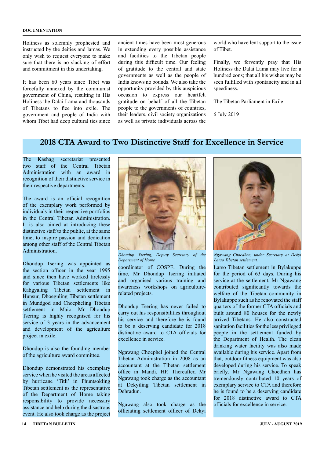Holiness as solemnly prophesied and instructed by the deities and lamas. We only wish to request everyone to make sure that there is no slacking of effort and commitment in this undertaking.

It has been 60 years since Tibet was forcefully annexed by the communist government of China, resulting in His Holiness the Dalai Lama and thousands of Tibetans to flee into exile. The government and people of India with whom Tibet had deep cultural ties since

ancient times have been most generous in extending every possible assistance and facilities to the Tibetan people during this difficult time. Our feeling of gratitude to the central and state governments as well as the people of India knows no bounds. We also take the opportunity provided by this auspicious occasion to express our heartfelt gratitude on behalf of all the Tibetan people to the governments of countries, their leaders, civil society organizations as well as private individuals across the

world who have lent support to the issue of Tibet.

Finally, we fervently pray that His Holiness the Dalai Lama may live for a hundred eons; that all his wishes may be seen fulfilled with spontaneity and in all speediness.

The Tibetan Parliament in Exile

6 July 2019

### **2018 CTA Award to Two Distinctive Staff for Excellence in Service**

The Kashag secretariat presented two staff of the Central Tibetan Administration with an award in recognition of their distinctive service in their respective departments.

The award is an official recognition of the exemplary work performed by individuals in their respective portfolios in the Central Tibetan Administration. It is also aimed at introducing these distinctive staff to the public, at the same time, to inspire passion and dedication among other staff of the Central Tibetan Administration.

Dhondup Tsering was appointed as the section officer in the year 1995 and since then have worked tirelessly for various Tibetan settlements like Rabgyaling Tibetan settlement in Hunsur, Dhoeguling Tibetan settlement in Mundgod and Choepheling Tibetan settlement in Maio. Mr Dhondup Tsering is highly recognised for his service of 3 years in the advancement and development of the agriculture project in exile.

Dhondup is also the founding member of the agriculture award committee.

Dhondup demonstrated his exemplary service when he visited the areas affected by hurricane 'Titli' in Phuntsokling Tibetan settlement as the representative of the Department of Home taking responsibility to provide necessary assistance and help during the disastrous event. He also took charge as the project



*Dhondup Tsering, Deputy Secretary of the Department of Home*

coordinator of COSPE. During the time, Mr Dhondup Tsering initiated and organised various training and awareness workshops on agriculturerelated projects.

Dhondup Tsering has never failed to carry out his responsibilities throughout his service and therefore he is found to be a deserving candidate for 2018 distinctive award to CTA officials for excellence in service.

Ngawang Choephel joined the Central Tibetan Administration in 2008 as an accountant at the Tibetan settlement office in Mandi, HP. Thereafter, Mr Ngawang took charge as the accountant at Dekyiling Tibetan settlement in Dehradun.

Ngawang also took charge as the officiating settlement officer of Dekyi



*Ngawang Choedhen, under Secretary at Dekyi Larso Tibetan settlement.*

Larso Tibetan settlement in Bylakuppe for the period of 63 days. During his service at the settlement, Mr Ngawang contributed significantly towards the welfare of the Tibetan community in Bylakuppe such as he renovated the staff quarters of the former CTA officials and built around 80 houses for the newly arrived Tibetans. He also constructed sanitation facilities for the less privileged people in the settlement funded by the Department of Health. The clean drinking water facility was also made available during his service. Apart from that, outdoor fitness equipment was also developed during his service. To speak briefly, Mr Ngawang Choedhen has tremendously contributed 10 years of exemplary service to CTA and therefore he is found to be a deserving candidate for 2018 distinctive award to CTA officials for excellence in service.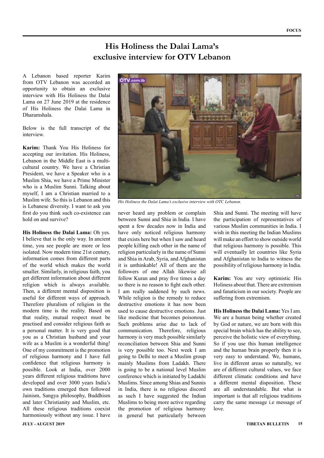### **His Holiness the Dalai Lama's exclusive interview for OTV Lebanon**

A Lebanon based reporter Karim from OTV Lebanon was accorded an opportunity to obtain an exclusive interview with His Holiness the Dalai Lama on 27 June 2019 at the residence of His Holiness the Dalai Lama in Dharamshala.

Below is the full transcript of the interview.

**Karim:** Thank You His Holiness for accepting our invitation. His Holiness Lebanon in the Middle East is a multicultural country. We have a Christian President, we have a Speaker who is a Muslim Shia, we have a Prime Minister who is a Muslim Sunni. Talking about myself, I am a Christian married to a Muslim wife. So this is Lebanon and this is Lebanese diversity. I want to ask you first do you think such co-existence can hold on and survive?

**His Holiness the Dalai Lama:** Oh yes. I believe that is the only way. In ancient time, you see people are more or less isolated. Now modern time 21st century, information comes from different parts of the world which makes the world smaller. Similarly, in religious faith, you get different information about different religion which is always available. Then, a different mental disposition is useful for different ways of approach. Therefore pluralism of religion in the modern time is the reality. Based on that reality, mutual respect must be practised and consider religious faith as a personal matter. It is very good that you as a Christian husband and your wife as a Muslim is a wonderful thing! One of my commitment is the promotion of religious harmony and I have full confidence that religious harmony is possible. Look at India, over 2000 years different religious traditions have developed and over 3000 years India's own traditions emerged then followed Jainism, Sangya philosophy, Buddhism and later Christianity and Muslim, etc. All these religious traditions coexist harmoniously without any issue. I have



*His Holiness the Dalai Lama's exclusive interview with OTC Lebanon.*

never heard any problem or complain between Sunni and Shia in India. I have spent a few decades now in India and have only noticed religious harmony that exists here but when I saw and heard people killing each other in the name of religion particularly in the name of Sunni and Shia in Arab, Syria, and Afghanistan it is unthinkable! All of them are the followers of one Allah likewise all follow Kuran and pray five times a day so there is no reason to fight each other. I am really saddened by such news. While religion is the remedy to reduce destructive emotions it has now been used to cause destructive emotions. Just like medicine that becomes poisonous. Such problems arise due to lack of communication. Therefore, religious harmony is very much possible similarly reconciliation between Shia and Sunni is very possible too. Next week I am going to Delhi to meet a Muslim group mainly Muslims from Ladakh. There is going to be a national level Muslim conference which is initiated by Ladakhi Muslims. Since among Shias and Sunnis in India, there is no religious discord as such I have suggested the Indian Muslims to being more active regarding the promotion of religious harmony in general but particularly between Shia and Sunni. The meeting will have the participation of representatives of various Muslim communities in India. I wish in this meeting the Indian Muslims will make an effort to show outside world that religious harmony is possible. This will eventually let countries like Syria and Afghanistan to India to witness the possibility of religious harmony in India.

**Karim:** You are very optimistic His Holiness about that. There are extremism and fanaticism in our society. People are suffering from extremism.

**His Holiness the Dalai Lama:** Yes I am. We are a human being whether created by God or nature, we are born with this special brain which has the ability to see, perceive the holistic view of everything. So if you use this human intelligence and the human brain properly then it is very easy to understand. We, humans, live in different areas so naturally, we are of different cultural values, we face different climatic conditions and have a different mental disposition. These are all understandable. But what is important is that all religious traditions carry the same message i.e message of love.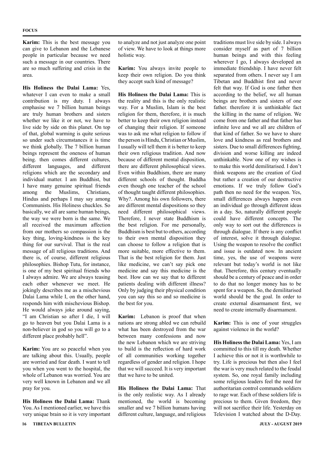**Karim:** This is the best message you can give to Lebanon and the Lebanese people in particular because we need such a message in our countries. There are so much suffering and crisis in the area.

**His Holiness the Dalai Lama:** Yes, whatever I can even to make a small contribution is my duty. I always emphasise we 7 billion human beings are truly human brothers and sisters whether we like it or not, we have to live side by side on this planet. On top of that, global warming is quite serious so under such circumstances it is time we think globally. The 7 billion human beings represent the oneness of human being. then comes different cultures, different languages, and different religions which are the secondary and individual matter. I am Buddhist, but I have many genuine spiritual friends among the Muslims, Christians, Hindus and perhaps I may say among Communists. His Holiness chuckles. So basically, we all are same human beings, the way we were born is the same. We all received the maximum affection from our mothers so compassion is the key thing, loving-kindness is the key thing for our survival. That is the real message of all religious traditions. And there is, of course, different religious philosophies. Bishop Tutu, for instance, is one of my best spiritual friends who I always admire. We are always teasing each other whenever we meet. He jokingly describes me as a mischevious Dalai Lama while I, on the other hand, responds him with mischevious Bishop. He would always joke around saying, "I am Christian so after I die, I will go to heaven but you Dalai Lama is a non-believer in god so you will go to a different place probably hell".

**Karim:** You are so peaceful when you are talking about this. Usually, people are worried and fear death. I want to tell you when you went to the hospital, the whole of Lebanon was worried. You are very well known in Lebanon and we all pray for you.

**His Holiness the Dalai Lama:** Thank You. As I mentioned earlier, we have this very unique brain so it is very important

to analyze and not just analyze one point of view. We have to look at things more holistic way.

**Karim:** You always invite people to keep their own religion. Do you think they accept such kind of message?

**His Holiness the Dalai Lama:** This is the reality and this is the only realistic way. For a Muslim, Islam is the best religion for them, therefore, it is much better to keep their own religion instead of changing their religion. If someone was to ask me what religion to follow if the person is Hindu, Christian or Muslim, I usually will tell them it is better to keep their own religious tradition. And now because of different mental disposition, there are different philosophical views. Even within Buddhism, there are many different schools of thought. Buddha even though one teacher of the school of thought taught different philosophies. Why?. Among his own followers, there are different mental dispositions so they need different philosophical views. Therefore, I never state Buddhism is the best religion. For me personally, Buddhism is best but to others, according to their own mental disposition they can choose to follow a religion that is more suitable, more effective to them. That is the best religion for them. Just like medicine, we can't say pick one medicine and say this medicine is the best. How can we say that to different patients dealing with different illness? Only by judging their physical condition you can say this so and so medicine is the best for you.

**Karim:** Lebanon is proof that when nations are strong abled we can rebuild what has been destroyed from the war between many confessions and now the new Lebanon which we are striving to build is the reflection of hard work of all communities working together regardless of gender and religion. I hope that we will succeed. It is very important that we have to be united.

**His Holiness the Dalai Lama:** That is the only realistic way. As I already mentioned, the world is becoming smaller and we 7 billion humans having different culture, language, and religious traditions must live side by side. I always consider myself as part of 7 billion human beings and with this feeling wherever I go, I always developed an immediate friendship. I have never felt separated from others. I never say I am Tibetan and Buddhist first and never felt that way. If God is one father then according to the belief, we all human beings are brothers and sisters of one father. therefore it is unthinkable fact the killing in the name of religion. We come from one father and that father has infinite love and we all are children of that kind of father. So we have to share love and kindness as real brothers and sisters. Due to small differences fighting, division and worse killing are indeed unthinkable. Now one of my wishes is to make this world demilitarised. I don't think weapons are the creation of God but rather a creation of our destructive emotions. If we truly follow God's path then no need for the weapon. Yes, small differences always happen even an individual go through different ideas in a day. So, naturally different people could have different concepts. The only way to sort out the differences is through dialogue. If there is any conflict of interest, solve it through dialogue. Using the weapon to resolve the conflict and issue is outdated now. In ancient time, yes, the use of weapons were relevant but today's world is not like that. Therefore, this century eventually should be a century of peace and in order to do that no longer money has to be spent for a weapon. So, the demilitarised world should be the goal. In order to create external disarmament first, we need to create internally disarmament.

**Karim:** This is one of your struggles against violence in the world?

**His Holiness the Dalai Lama:** Yes, I am committed to this till my death. Whether I achieve this or not it is worthwhile to try. Life is precious but then also I feel the war is very much related to the feudal system. So, one royal family including some religious leaders feel the need for authoritarian control commands soldiers to rage war. Each of these soldiers life is precious to them. Given freedom, they will not sacrifice their life. Yesterday on Television I watched about the D-Day.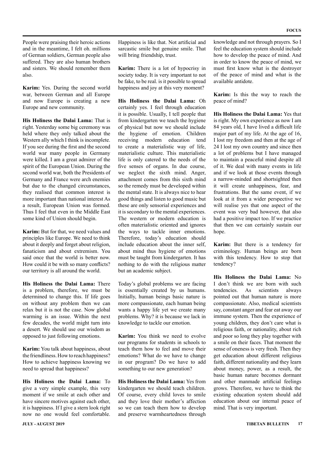People were praising their heroic actions and in the meantime, I felt oh. millions of German soldiers, German people also suffered. They are also human brothers and sisters. We should remember them also.

**Karim:** Yes. During the second world war, between German and all Europe and now Europe is creating a new Europe and new community.

**His Holiness the Dalai Lama:** That is right. Yesterday some big ceremony was held where they only talked about the Western ally which I think is incomplete. If you see during the first and the second world war many people in Germany were killed. I am a great admirer of the spirit of the European Union. During the second world war, both the Presidents of Germany and France were arch enemies but due to the changed circumstances, they realised that common interest is more important than national interest As a result, European Union was formed. Thus I feel that even in the Middle East some kind of Union should begin.

**Karim:** But for that, we need values and principles like Europe. We need to think about it deeply and forget about religion, fanaticism and about extremism. You said once that the world is better now. How could it be with so many conflicts? our territory is all around the world.

**His Holiness the Dalai Lama:** There is a problem, therefore, we must be determined to change this. If life goes on without any problem then we can relax but it is not the case. Now global warming is an issue. Within the next few decades, the world might turn into a desert. We should use our wisdom as opposed to just following emotions.

**Karim:** You talk about happiness, about the friendliness. How to reach happiness? How to achieve happiness knowing we need to spread that happiness?

**His Holiness the Dalai Lama:** To give a very simple example, this very moment if we smile at each other and have sincere motives against each other, it is happiness. If I give a stern look right now no one would feel comfortable.

Happiness is like that. Not artificial and sarcastic smile but genuine smile. That will bring friendship, trust.

**Karim:** There is a lot of hypocrisy in society today. It is very important to not be fake, to be real. is it possible to spread happiness and joy at this very moment?

**His Holiness the Dalai Lama:** Oh certainly yes. I feel through education it is possible. Usually, I tell people that from kindergarten we teach the hygiene of physical but now we should include the hygiene of emotion. Children receiving modern education tend to create a materialistic way of life, materialistic culture. This materialistic life is only catered to the needs of the five senses of organs. In due course, we neglect the sixth mind. Anger, attachment comes from this sixth mind so the remedy must be developed within the mental state. It is always nice to hear good things and listen to good music but these are only sensorial experiences and it is secondary to the mental experiences. The western or modern education is often materialistic oriented and ignores the ways to tackle inner emotions. Therefore, today's education should include education about the inner self, about mind thus hygiene of emotions must be taught from kindergarten. It has nothing to do with the religious matter but an academic subject.

Today's global problems we are facing is essentially created by us humans. Initially, human beings basic nature is more compassionate, each human being wants a happy life yet we create many problems. Why? it is because we lack in knowledge to tackle our emotion.

**Karim:** You think we need to evolve our programs for students in schools to teach them how to feel and move their emotions? What do we have to change in our program? Do we have to add something to our new generation?

**His Holiness the Dalai Lama:** Yes from kindergarten we should teach children. Of course, every child loves to smile and they love their mother's affection so we can teach them how to develop and preserve warmheartedness through

knowledge and not through prayers. So I feel the education system should include how to develop the peace of mind. And in order to know the peace of mind, we must first know what is the destroyer of the peace of mind and what is the available antidote.

**Karim:** Is this the way to reach the peace of mind?

**His Holiness the Dalai Lama:** Yes that is right. My own experience as now I am 84 years old, I have lived a difficult life major part of my life. At the age of 16, I lost my freedom and then at the age of 24 I lost my own country and since then a lot of problems but I have managed to maintain a peaceful mind despite all of it. We deal with many events in life and if we look at those events through a narrow-minded and shortsighted then it will create unhappiness, fear, and frustrations. But the same event, if we look at it from a wider perspective we will realise yes that one aspect of the event was very bad however, that also had a positive impact too. If we practice that then we can certainly sustain our hope.

**Karim:** But there is a tendency for criminology. Human beings are born with this tendency. How to stop that tendency?

**His Holiness the Dalai Lama:** No I don't think we are born with such tendencies. As scientists always pointed out that human nature is more compassionate. Also, medical scientists say, constant anger and fear eat away our immune system. Then the experience of young children, they don't care what is religious faith, or nationality, about rich and poor so long they play together with a smile on their faces. That moment the sense of oneness is very fresh. Then they get education about different religious faith, different nationality and they learn about money, power, as a result, the basic human nature becomes dormant and other manmade artificial feelings grows. Therefore, we have to think the existing education system should add education about our internal peace of mind. That is very important.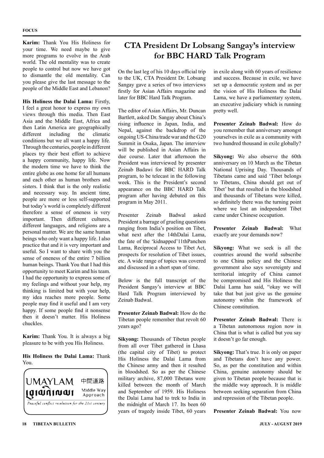**Karim:** Thank You His Holiness for your time. We need maybe to give more programs to evolve in the Arab world. The old mentality was to create people to control but now we have got to dismantle the old mentality. Can you please give the last message to the people of the Middle East and Lebanon?

**His Holiness the Dalai Lama:** Firstly, I feel a great honor to express my own views through this media. Then East Asia and the Middle East, Africa and then Latin America are geographically different including the climatic conditions but we all want a happy life. Through the centuries, people in different places try their best effort to achieve a happy community, happy life. Now the modern time we have to think the entire globe as one home for all humans and each other as human brothers and sisters. I think that is the only realistic and necessary way. In ancient time, people are more or less self-supported but today's world is completely different therefore a sense of oneness is very important. Then different cultures different languages, and religions are a personal matter. We are the same human beings who only want a happy life. I also practice that and it is very important and useful. So I want to share with you the sense of oneness of the entire 7 billion human beings. Thank You that I had this opportunity to meet Karim and his team. I had the opportunity to express some of my feelings and without your help, my thinking is limited but with your help, my idea reaches more people. Some people may find it useful and I am very happy. If some people find it nonsense then it doesn't matter. His Holiness chuckles.

**Karim:** Thank You. It is always a big pleasure to be with you His Holiness.

**His Holiness the Dalai Lama:** Thank You.



On the last leg of his 10 days official trip to the UK, CTA President Dr. Lobsang Sangay gave a series of two interviews firstly for Asian Affairs magazine and later for BBC Hard Talk Program.

The editor of Asian Affairs, Mr. Duncan Bartlett, asked Dr. Sangay about China's rising influence in Japan, India, and Nepal, against the backdrop of the ongoing US-China trade war and the G20 Summit in Osaka, Japan. The interview will be published in Asian Affairs in due course. Later that afternoon the President was interviewed by presenter Zeinab Badawi for BBC HARD Talk program, to be telecast in the following week. This is the President's second appearance on the BBC HARD Talk program after having debuted on this program in May 2011.

Presenter Zeinab Badwal asked President a barrage of grueling questions ranging from India's position on Tibet, what next after the 14thDalai Lama, the fate of the 'kidnapped'11thPanchen Lama, Reciprocal Access to Tibet Act, prospects for resolution of Tibet issues, etc. A wide range of topics was covered and discussed in a short span of time.

Below is the full transcript of the President Sangay's interview at BBC Hard Talk Program interviewed by Zeinab Badwal.

**Presenter Zeinab Badwal:** How do the Tibetan people remember that revolt 60 years ago?

**Sikyong:** Thousands of Tibetan people from all over Tibet gathered in Lhasa (the capital city of Tibet) to protect His Holiness the Dalai Lama from the Chinese army and then it resulted in bloodshed. So as per the Chinese military archive, 87,000 Tibetans were killed between the month of March and September of 1959. His Holiness the Dalai Lama had to trek to India in the midnight of March 17. Its been 60 years of tragedy inside Tibet, 60 years in exile along with 60 years of resilience and success. Because in exile, we have set up a democratic system and as per the vision of His Holiness the Dalai Lama, we have a parliamentary system, an executive judiciary which is running pretty well.

**Presenter Zeinab Badwal:** How do you remember that anniversary amongst yourselves in exile as a community with two hundred thousand in exile globally?

**Sikyong:** We also observe the 60th anniversary on 10 March as the Tibetan National Uprising Day. Thousands of Tibetans came and said 'Tibet belongs to Tibetans, China should get out of Tibet' but that resulted in the bloodshed and thousands of Tibetans were killed, so definitely there was the turning point where we lost an independent Tibet came under Chinese occupation.

**Presenter Zeinab Badwal:** What exactly are your demands now?

**Sikyong:** What we seek is all the countries around the world subscribe to one China policy and the Chinese government also says sovereignty and territorial integrity of China cannot be compromised and His Holiness the Dalai Lama has said, "okay we will take that but just give us the genuine autonomy within the framework of Chinese constitution.

**Presenter Zeinab Badwal:** There is a Tibetan autonomous region now in China that is what is called but you say it doesn't go far enough.

**Sikyong:** That's true. It is only on paper and Tibetans don't have any power. So, as per the constitution and within China, genuine autonomy should be given to Tibetan people because that is the middle way approach. It is middle between seeking separation from China and repression of the Tibetan people.

**Presenter Zeinab Badwal:** You now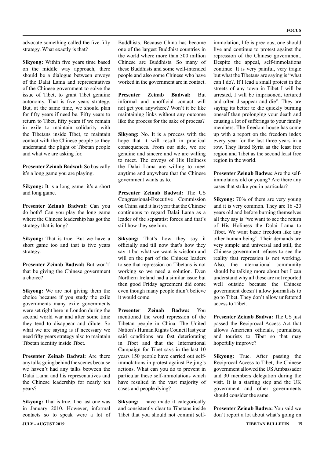advocate something called the five-fifty strategy. What exactly is that?

**Sikyong:** Within five years time based on the middle way approach, there should be a dialogue between envoys of the Dalai Lama and representatives of the Chinese government to solve the issue of Tibet, to grant Tibet genuine autonomy. That is five years strategy. But, at the same time, we should plan for fifty years if need be. Fifty years to return to Tibet, fifty years if we remain in exile to maintain solidarity with the Tibetans inside Tibet, to maintain contact with the Chinese people so they understand the plight of Tibetan people and what we are asking for.

**Presenter Zeinab Badwal:** So basically it's a long game you are playing.

**Sikyong:** It is a long game. it's a short and long game.

**Presenter Zeinab Badwal:** Can you do both? Can you play the long game where the Chinese leadership has got the strategy that is long?

**Sikyong:** That is true. But we have a short game too and that is five years strategy.

**Presenter Zeinab Badwal:** But won't' that be giving the Chinese government a choice?

**Sikyong:** We are not giving them the choice because if you study the exile governments many exile governments were set right here in London during the second world war and after some time they tend to disappear and dilute. So what we are saying is if necessary we need fifty years strategy also to maintain Tibetan identity inside Tibet.

**Presenter Zeinab Badwal:** Are there any talks going behind the scenes because we haven't had any talks between the Dalai Lama and his representatives and the Chinese leadership for nearly ten years?

**JULY - AUGUST 2019 TIBETAN BULLETIN 19 Sikyong:** That is true. The last one was in January 2010. However, informal contacts so to speak were a lot of

Buddhists. Because China has become one of the largest Buddhist countries in the world where more than 300 million Chinese are Buddhists. So many of these Buddhists and some well-intended people and also some Chinese who have worked in the government are in contact.

**Presenter Zeinab Badwal:** But informal and unofficial contact will not get you anywhere? Won't it be like maintaining links without any outcome like the process for the sake of process?

**Sikyong:** No. It is a process with the hope that it will result in practical consequences. From our side, we are genuine and sincere and we are willing to meet. The envoys of His Holiness the Dalai Lama are willing to meet anytime and anywhere that the Chinese government wants us to.

**Presenter Zeinab Badwal:** The US Congressional-Executive Commission on China said it last year that the Chinese continuous to regard Dalai Lama as a leader of the separatist forces and that's still how they see him.

**Sikyong:** That's how they say it officially and till now that's how they say it but what we want is wisdom and will on the part of the Chinese leaders to see that repression on Tibetans is not working so we need a solution. Even Northern Ireland had a similar issue but then good Friday agreement did come even though many people didn't believe it would come.

**Presenter Zeinab Badwa:** You mentioned the word repression of the Tibetan people in China. The United Nation's Human Rights Council last year said conditions are fast deteriorating in Tibet and that the International Campaign for Tibet says in the last 10 years 150 people have carried out selfimmolations in protest against Beijing's actions. What can you do to prevent in particular these self-immolations which have resulted in the vast majority of cases and people dying?

**Sikyong:** I have made it categorically and consistently clear to Tibetans inside Tibet that you should not commit self-

immolation, life is precious, one should live and continue to protest against the repression of the Chinese government. Despite the appeal, self-immolations continue. It is very painful, very tragic but what the Tibetans are saying is "what can I do?. If I lead a small protest in the streets of any town in Tibet I will be arrested, I will be imprisoned, tortured and often disappear and die". They are saying its better to die quickly burning oneself than prolonging your death and causing a lot of sufferings to your family members. The freedom house has come up with a report on the freedom index every year for the last three years in a row. They listed Syria as the least free region and Tibet as the second least free region in the world.

**Presenter Zeinab Badwa:** Are the selfimmolators old or young? Are there any cases that strike you in particular?

**Sikyong:** 70% of them are very young and it is very common. They are 16 -20 years old and before burning themselves all they say is "we want to see the return of His Holiness the Dalai Lama to Tibet. We want basic freedom like any other human being". Their demands are very simple and universal and still, the Chinese government refuses to see the reality that repression is not working. Also, the international community should be talking more about but I can understand why all these are not reported well outside because the Chinese government doesn't allow journalists to go to Tibet. They don't allow unfettered access to Tibet.

**Presenter Zeinab Badwa:** The US just passed the Reciprocal Access Act that allows American officials, journalists, and tourists to Tibet so that may hopefully improve?

**Sikyong:** True. After passing the Reciprocal Access to Tibet, the Chinese government allowed the US Ambassador and 30 members delegation during the visit. It is a starting step and the UK government and other governments should consider the same.

**Presenter Zeinab Badwa:** You said we don't report a lot about what's going on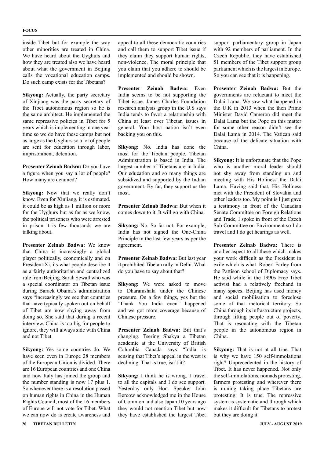inside Tibet but for example the way other minorities are treated in China. We have heard about the Uyghurs and how they are treated also we have heard about what the government in Beijing calls the vocational education camps. Do such camp exists for the Tibetans?

**Sikyong:** Actually, the party secretary of Xinjiang was the party secretary of the Tibet autonomous region so he is the same architect. He implemented the same repressive policies in Tibet for 5 years which is implementing in one year time so we do have these camps but not as large as the Uyghurs so a lot of people are sent for education through labor, imprisonment, detention.

**Presenter Zeinab Badwa:** Do you have a figure when you say a lot of people? How many are detained?

**Sikyong:** Now that we really don't know. Even for Xinjiang, it is estimated. it could be as high as 1 million or more for the Uyghurs but as far as we know the political prisoners who were arrested in prison it is few thousands we are talking about.

**Presenter Zeinab Badwa:** We know that China is increasingly a global player politically, economically and on President Xi, its what people describe it as a fairly authoritarian and centralized rule from Beijing. Sarah Sewall who was a special coordinator on Tibetan issue during Barack Obama's administration says "increasingly we see that countries that have typically spoken out on behalf of Tibet are now shying away from doing so. She said that during a recent interview. China is too big for people to ignore, they will always side with China and not Tibet.

**Sikyong:** Yes some countries do. We have seen even in Europe 28 members of the European Union is divided. There are 16 European countries and one China and now Italy has joined the group and the number standing is now 17 plus 1. So whenever there is a resolution passed on human rights in China in the Human Rights Council, most of the 16 members of Europe will not vote for Tibet. What we can now do is create awareness and

appeal to all these democratic countries and call them to support Tibet issue if they claim they support human rights, non-violence. The moral principle that you claim that you adhere to should be implemented and should be shown.

**Presenter Zeinab Badwa:** Even India seems to be not supporting the Tibet issue. James Charles Foundation research analysis group in the U.S says India tends to favor a relationship with China at least over Tibetan issues in general. Your host nation isn't even backing you on this.

**Sikyong:** No. India has done the most for the Tibetan people. Tibetan Administration is based in India. The largest number of Tibetans are in India. Our education and so many things are subsidized and supported by the Indian government. By far, they support us the most.

**Presenter Zeinab Badwa:** But when it comes down to it. It will go with China.

**Sikyong:** No. So far not. For example, India has not signed the One-China Principle in the last few years as per the agreement.

**Presenter Zeinab Badwa:** But last year it prohibited Tibetan rally in Delhi. What do you have to say about that?

**Sikyong:** We were asked to move to Dharamshala under the Chinese pressure. On a few things, yes but the 'Thank You India event' happened and we got more coverage because of Chinese pressure.

**Presenter Zeinab Badwa:** But that's changing. Tsering Shakya a Tibetan academic at the University of British Columbia Canada says "India is sensing that Tibet's appeal in the west is declining. That is true, isn't it?

**Sikyong:** I think he is wrong. I travel to all the capitals and I do see support. Yesterday only Hon. Speaker John Bercow acknowledged me in the House of Common and also Japan 10 years ago they would not mention Tibet but now they have established the largest Tibet

support parliamentary group in Japan with 92 members of parliament. In the Czech Republic, they have established 51 members of the Tibet support group parliament which is the largest in Europe. So you can see that it is happening.

**Presenter Zeinab Badwa:** But the governments are reluctant to meet the Dalai Lama. We saw what happened in the U.K in 2013 when the then Prime Minister David Cameron did meet the Dalai Lama but the Pope on this matter for some other reason didn't see the Dalai Lama in 2014. The Vatican said because of the delicate situation with China.

**Sikyong:** It is unfortunate that the Pope who is another moral leader should not shy away from standing up and meeting with His Holiness the Dalai Lama. Having said that, His Holiness met with the President of Slovakia and other leaders too. My point is I just gave a testimony in front of the Canadian Senate Committee on Foreign Relations and Trade, I spoke in front of the Czech Sub Committee on Environment so I do travel and I do get hearings as well.

**Presenter Zeinab Badwa:** There is another aspect to all these which makes your work difficult as the President in exile which is what Robert Farley from the Pattison school of Diplomacy says. He said while in the 1990s Free Tibet activist had a relatively freehand in many spaces. Beijing has used money and social mobilisation to foreclose some of that rhetorical territory. So China through its infrastructure projects, through lifting people out of poverty. That is resonating with the Tibetan people in the autonomous region in China.

**Sikyong:** That is not at all true. That is why we have 150 self-immolations right? Unprecedented in the history of Tibet. It has never happened. Not only the self-immolations, nomads protesting, farmers protesting and wherever there is mining taking place Tibetans are protesting. It is true. The repressive system is systematic and through which makes it difficult for Tibetans to protest but they are doing it.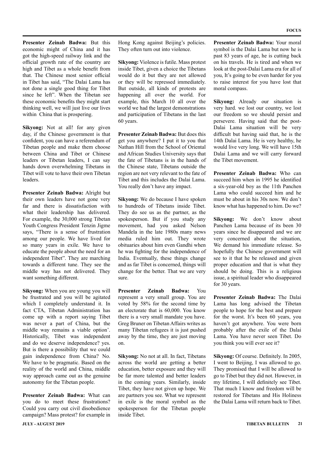**Presenter Zeinab Badwa:** But this economic might of China and it has got the high-speed railway link and the official growth rate of the country are high and Tibet as a whole benefit from that. The Chinese most senior official in Tibet has said, "The Dalai Lama has not done a single good thing for Tibet since he left". When the Tibetan see these economic benefits they might start thinking well, we will just live our lives within China that is prospering.

Sikyong: Not at all! for any given day, if the Chinese government is that confident, you can have a referendum of Tibetan people and make them choose between China and Tibet or Chinese leaders or Tibetan leaders, I can say hands down overwhelming Tibetans in Tibet will vote to have their own Tibetan leaders.

**Presenter Zeinab Badwa:** Alright but their own leaders have not gone very far and there is dissatisfaction with what their leadership has delivered For example, the 30,000 strong Tibetan Youth Congress President Tenzin Jigme says, "There is a sense of frustration among our people. We have lived for so many years in exile. We have to educate the people about the need for an independent Tibet". They are marching towards a different tune. They see the middle way has not delivered. They want something different.

**Sikyong:** When you are young you will be frustrated and you will be agitated which I completely understand it. In fact CTA, Tibetan Administration has come up with a report saying Tibet was never a part of China, but the middle way remains a viable option'. Historically, Tibet was independent and do we deserve independence? yes. But is there a possibility that we could gain independence from China? No. We have to be pragmatic. Based on the reality of the world and China, middle way approach came out as the genuine autonomy for the Tibetan people.

**Presenter Zeinab Badwa:** What can you do to meet these frustrations? Could you carry out civil disobedience campaign? Mass protest? for example in

Hong Kong against Beijing's policies. They often turn out into violence.

**Sikyong:** Violence is futile. Mass protest inside Tibet, given a choice the Tibetans would do it but they are not allowed or they will be repressed immediately. But outside, all kinds of protests are happening all over the world. For example, this March 10 all over the world we had the largest demonstrations and participation of Tibetans in the last 60 years.

**Presenter Zeinab Badwa:** But does this get you anywhere? I put it to you that Nathan Hill from the School of Oriental and African Studies University says that the fate of Tibetans is in the hands of the Chinese state, Tibetans outside the region are not very relevant to the fate of Tibet and this includes the Dalai Lama. You really don't have any impact.

**Sikyong:** We do because I have spoken to hundreds of Tibetans inside Tibet. They do see us as the partner, as the spokesperson. But if you study any movement, had you asked Nelson Mandela in the late 1980s many news media ruled him out. They wrote obituaries about him even Gandhi when he was fighting for the independence of India. Eventually, these things change and as far Tibet is concerned, things will change for the better. That we are very sure.

**Presenter Zeinab Badwa:** You represent a very small group. You are voted by 58% for the second time by an electorate that is 60,000. You know there is a very small mandate you have. Greg Bruner on Tibetan Affairs writes as many Tibetan refugees it is just pushed away by the time, they are just moving on.

**Sikyong:** No not at all. In fact, Tibetans across the world are getting a better education, better exposure and they will be far more talented and better leaders in the coming years. Similarly, inside Tibet, they have not given up hope. We are partners you see. What we represent in exile is the moral symbol as the spokesperson for the Tibetan people inside Tibet.

**Presenter Zeinab Badwa:** Your moral symbol is the Dalai Lama but now he is past 83 years of age, he is cutting back on his travels. He is tired and when we look at the post-Dalai Lama era for all of you, It's going to be even harder for you to raise interest for you have lost that moral compass.

**Sikyong:** Already our situation is very hard. we lost our country, we lost our freedom so we should persist and persevere. Having said that the post-Dalai Lama situation will be very difficult but having said that, he is the 14th Dalai Lama. He is very healthy, he would live very long. We will have 15th Dalai Lama and we will carry forward the Tibet movement.

**Presenter Zeinab Badwa:** Who can succeed him when in 1995 he identified a six-year-old boy as the 11th Panchen Lama who could succeed him and he must be about in his 30s now. We don't know what has happened to him. Do we?

**Sikyong:** We don't know about Panchen Lama because of its been 30 years since he disappeared and we are very concerned about the situation, We demand his immediate release. So hopefully the Chinese government will see to it that he be released and given proper education and that is what they should be doing. This is a religious issue, a spiritual leader who disappeared for 30 years.

**Presenter Zeinab Badwa:** The Dalai Lama has long advised the Tibetan people to hope for the best and prepare for the worst. It's been 60 years, you haven't got anywhere. You were born probably after the exile of the Dalai Lama. You have never seen Tibet. Do you think you will ever see it?

**Sikyong:** Of course. Definitely. In 2005, I went to Beijing, I was allowed to go. They promised that I will be allowed to go to Tibet but they did not. However, in my lifetime, I will definitely see Tibet. That much I know and freedom will be restored for Tibetans and His Holiness the Dalai Lama will return back to Tibet.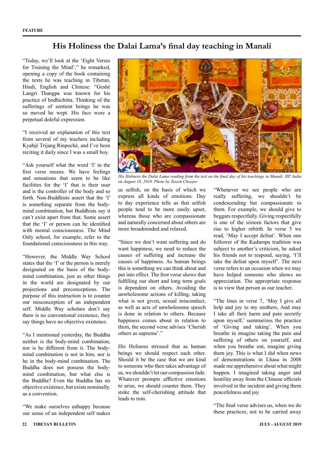### **His Holiness the Dalai Lama's final day teaching in Manali**

"Today, we'll look at the 'Eight Verses for Training the Mind'," he remarked, opening a copy of the book containing the texts he was teaching in Tibetan, Hindi, English and Chinese. "Geshé Langri Thangpa was known for his practice of bodhichitta. Thinking of the sufferings of sentient beings he was so moved he wept. His face wore a perpetual doleful expression.

"I received an explanation of this text from several of my teachers including Kyabjé Trijang Rinpoché, and I've been reciting it daily since I was a small boy.

"Ask yourself what the word 'I' in the first verse means. We have feelings and sensations that seem to be like facilities for the 'I' that is their user and is the controller of the body and so forth. Non-Buddhists assert that the 'I' is something separate from the bodymind combination, but Buddhists say it can't exist apart from that. Some assert that the 'I' or person can be identified with mental consciousness. The Mind Only school, for example, refer to the foundational consciousness in this way.

"However, the Middle Way School states that the 'I' or the person is merely designated on the basis of the bodymind combination, just as other things in the world are designated by our projections and preconceptions. The purpose of this instruction is to counter our misconception of an independent self. Middle Way scholars don't say there is no conventional existence, they say things have no objective existence.

"As I mentioned yesterday, the Buddha neither is the body-mind combination, nor is he different from it. The bodymind combination is not in him, nor is he in the body-mind combination. The Buddha does not possess the bodymind combination, but what else is the Buddha? Even the Buddha has no objective existence, but exists nominally, as a convention.

"We make ourselves unhappy because our sense of an independent self makes





*His Holiness the Dalai Lama reading from the text on the final day of his teachings in Manali, HP, India on August 18, 2019. Photo by Tenzin Choejor*

us selfish, on the basis of which we express all kinds of emotions. Day to day experience tells us that selfish people tend to be more easily upset, whereas those who are compassionate and naturally concerned about others are more broadminded and relaxed.

"Since we don't want suffering and do want happiness, we need to reduce the causes of suffering and increase the causes of happiness. As human beings this is something we can think about and put into effect. The first verse shows that fulfilling our short and long term goals is dependent on others. Avoiding the unwholesome actions of killing, taking what is not given, sexual misconduct, as well as acts of unwholesome speech is done in relation to others. Because happiness comes about in relation to them, the second verse advises 'Cherish others as supreme'."

His Holiness stressed that as human beings we should respect each other. Should it be the case that we are kind to someone who then takes advantage of us, we shouldn't let our compassion fade. Whatever prompts afflictive emotions to arise, we should counter them. They stoke the self-cherishing attitude that leads to ruin.

"Whenever we see people who are really suffering, we shouldn't be condescending but compassionate to them. For example, we should give to beggars respectfully. Giving respectfully is one of the sixteen factors that give rise to higher rebirth. In verse 5 we read, 'May I accept defeat'. When one follower of the Kadampa tradition was subject to another's criticism, he asked his friends not to respond, saying, 'I'll take the defeat upon myself'. The next verse refers to an occasion when we may have helped someone who shows no appreciation. The appropriate response is to view that person as our teacher.

"The lines in verse 7, 'May I give all help and joy to my mothers, And may I take all their harm and pain secretly upon myself,' summarizes the practice of 'Giving and taking'. When you breathe in imagine taking the pain and suffering of others on yourself, and when you breathe out, imagine giving them joy. This is what I did when news of demonstrations in Lhasa in 2008 made me apprehensive about what might happen. I imagined taking anger and hostility away from the Chinese officials involved in the incident and giving them peacefulness and joy.

"The final verse advises us, when we do these practices, not to be carried away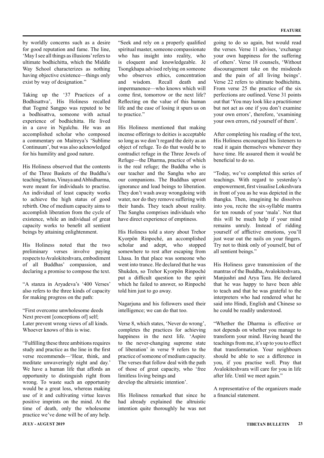by worldly concerns such as a desire for good reputation and fame. The line, 'May I see all things as illusions' refers to ultimate bodhichitta, which the Middle Way School characterizes as nothing having objective existence—things only exist by way of designation."

Taking up the '37 Practices of a Bodhisattva', His Holiness recalled that Togmé Sangpo was reputed to be a bodhisattva, someone with actual experience of bodhichitta. He lived in a cave in Ngulchu. He was an accomplished scholar who composed a commentary on Maitreya's 'Sublime Continuum', but was also acknowledged for his humility and good nature.

His Holiness observed that the contents of the Three Baskets of the Buddha's teaching Sutras, Vinaya and Abhidharma, were meant for individuals to practise. An individual of least capacity works to achieve the high status of good rebirth. One of medium capacity aims to accomplish liberation from the cycle of existence, while an individual of great capacity works to benefit all sentient beings by attaining enlightenment.

His Holiness noted that the two preliminary verses involve paying respects to Avalokiteshvara, embodiment of all Buddhas' compassion, and declaring a promise to compose the text.

"A stanza in Aryadeva's '400 Verses' also refers to the three kinds of capacity for making progress on the path:

"First overcome unwholesome deeds Next prevent [conceptions of] self; Later prevent wrong views of all kinds. Whoever knows of this is wise.

"Fulfilling these three ambitions requires study and practice as the line in the first verse recommends—'Hear, think, and meditate unwaveringly night and day.' We have a human life that affords an opportunity to distinguish right from wrong. To waste such an opportunity would be a great loss, whereas making use of it and cultivating virtue leaves positive imprints on the mind. At the time of death, only the wholesome practice we've done will be of any help.

"Seek and rely on a properly qualified spiritual master, someone compassionate who has insight into reality, who is eloquent and knowledgeable. Jé Tsongkhapa advised relying on someone who observes ethics, concentration and wisdom. Recall death and impermanence—who knows which will come first, tomorrow or the next life? Reflecting on the value of this human life and the ease of losing it spurs us on to practice."

His Holiness mentioned that making incense offerings to deities is acceptable so long as we don't regard the deity as an object of refuge. To do that would be to contradict refuge in the Three Jewels of Refuge—the Dharma, practice of which is the real refuge; the Buddha who is our teacher and the Sangha who are our companions. The Buddhas uproot ignorance and lead beings to liberation. They don't wash away wrongdoing with water, nor do they remove suffering with their hands. They teach about reality. The Sangha comprises individuals who have direct experience of emptiness.

His Holiness told a story about Trehor Kyorpön Rinpoché, an accomplished scholar and adept, who stopped somewhere to rest after escaping from Lhasa. In that place was someone who went into trance. He declared that he was Shukden, so Trehor Kyorpön Rinpoché put a difficult question to the spirit which he failed to answer, so Rinpoché told him just to go away.

Nagarjuna and his followers used their intelligence; we can do that too.

Verse 8, which states, 'Never do wrong', completes the practices for achieving happiness in the next life. 'Aspire to the never-changing supreme state of liberation' in verse 9 refers to the practice of someone of medium capacity. The verses that follow deal with the path of those of great capacity, who 'free limitless living beings and develop the altruistic intention'.

His Holiness remarked that since he had already explained the altruistic intention quite thoroughly he was not going to do so again, but would read the verses. Verse 11 advises, 'exchange your own happiness for the suffering of others'. Verse 18 counsels, 'Without discouragement take on the misdeeds and the pain of all living beings'. Verse 22 refers to ultimate bodhichitta. From verse 25 the practice of the six perfections are outlined. Verse 31 points out that 'You may look like a practitioner but not act as one if you don't examine your own errors', therefore, 'examining your own errors, rid yourself of them'.

After completing his reading of the text, His Holiness encouraged his listeners to read it again themselves whenever they have time. He assured them it would be beneficial to do so.

"Today, we've completed this series of teachings. With regard to yesterday's empowerment, first visualise Lokeshvara in front of you as he was depicted in the thangka. Then, imagining he dissolves into you, recite the six-syllable mantra for ten rounds of your 'mala'. Not that this will be much help if your mind remains unruly. Instead of ridding yourself of afflictive emotions, you'll just wear out the nails on your fingers. Try not to think only of yourself, but of all sentient beings."

His Holiness gave transmission of the mantras of the Buddha, Avalokiteshvara Manjushri and Arya Tara. He declared that he was happy to have been able to teach and that he was grateful to the interpreters who had rendered what he said into Hindi, English and Chinese so he could be readily understood.

"Whether the Dharma is effective or not depends on whether you manage to transform your mind. Having heard the teachings from me, it's up to you to effect that transformation. Your neighbours should be able to see a difference in you, if you practise well. Pray that Avalokiteshvara will care for you in life after life. Until we meet again."

A representative of the organizers made a financial statement.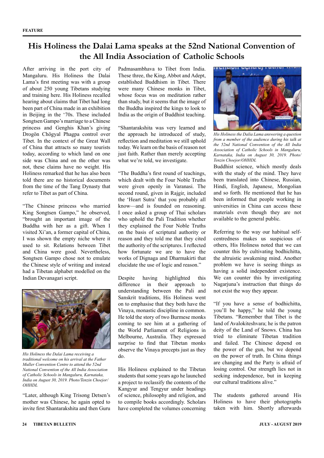### **His Holiness the Dalai Lama speaks at the 52nd National Convention of the All India Association of Catholic Schools**

After arriving in the port city of Mangaluru. His Holiness the Dalai Lama's first meeting was with a group of about 250 young Tibetans studying and training here. His Holiness recalled hearing about claims that Tibet had long been part of China made in an exhibition in Beijing in the '70s. These included Songtsen Gampo's marriage to a Chinese princess and Genghis Khan's giving Drogön Chögyal Phagpa control over Tibet. In the context of the Great Wall of China that attracts so many tourists today, according to which land on one side was China and on the other was not, these claims have no weight. His Holiness remarked that he has also been told there are no historical documents from the time of the Tang Dynasty that refer to Tibet as part of China.

"The Chinese princess who married King Songtsen Gampo," he observed, "brought an important image of the Buddha with her as a gift. When I visited Xi'an, a former capital of China, I was shown the empty niche where it used to sit. Relations between Tibet and China were good. Nevertheless, Songtsen Gampo chose not to emulate the Chinese style of writing and instead had a Tibetan alphabet modelled on the Indian Devanagari script.



*His Holiness the Dalai Lama receiving a traditional welcome on his arrival at the Father Muller Convention Centre to attend the 52nd National Convention of the All India Association of Catholic Schools in Mangaluru, Karnataka, India on August 30, 2019. Photo/Tenzin Choejor/ OHHDL*

"Later, although King Trisong Detsen's mother was Chinese, he again opted to invite first Shantarakshita and then Guru

Padmasambhava to Tibet from India. These three, the King, Abbot and Adept, established Buddhism in Tibet. There were many Chinese monks in Tibet, whose focus was on meditation rather than study, but it seems that the image of the Buddha inspired the kings to look to India as the origin of Buddhist teaching.

"Shantarakshita was very learned and the approach he introduced of study, reflection and meditation we still uphold today. We learn on the basis of reason not just faith. Rather than merely accepting what we're told, we investigate.

"The Buddha's first round of teachings, which dealt with the Four Noble Truths were given openly in Varanasi. The second round, given in Rajgir, included the 'Heart Sutra' that you probably all know—and is founded on reasoning. I once asked a group of Thai scholars who uphold the Pali Tradition whether they explained the Four Noble Truths on the basis of scriptural authority or reason and they told me that they cited the authority of the scriptures. I reflected how fortunate we are to have the works of Dignaga and Dharmakirti that elucidate the use of logic and reason."

Despite having highlighted this difference in their approach to understanding between the Pali and Sanskrit traditions, His Holiness went on to emphasise that they both have the Vinaya, monastic discipline in common. He told the story of two Burmese monks coming to see him at a gathering of the World Parliament of Religions in Melbourne, Australia. They expressed surprise to find that Tibetan monks observe the Vinaya precepts just as they do.

His Holiness explained to the Tibetan students that some years ago he launched a project to reclassify the contents of the Kangyur and Tengyur under headings of science, philosophy and religion, and to compile books accordingly. Scholars have completed the volumes concerning



*His Holiness the Dalia Lama answering a question from a member of the audience during his talk at the 52nd National Convention of the All India Association of Catholic Schools in Mangaluru, Karnataka, India on August 30, 2019. Photo/ Tenzin Choejor/OHHDL* 

Buddhist science, which mostly deals with the study of the mind. They have been translated into Chinese, Russian, Hindi, English, Japanese, Mongolian and so forth. He mentioned that he has been informed that people working in universities in China can access these materials even though they are not available to the general public.

Referring to the way our habitual selfcentredness makes us suspicious of others, His Holiness noted that we can counter this by cultivating bodhichitta, the altruistic awakening mind. Another problem we have is seeing things as having a solid independent existence. We can counter this by investigating Nagarjuna's instruction that things do not exist the way they appear.

"If you have a sense of bodhichitta, you'll be happy," he told the young Tibetans. "Remember that Tibet is the land of Avalokiteshvara; he is the patron deity of the Land of Snows. China has tried to eliminate Tibetan tradition and failed. The Chinese depend on the power of the gun, but we depend on the power of truth. In China things are changing and the Party is afraid of losing control. Our strength lies not in seeking independence, but in keeping our cultural traditions alive."

The students gathered around His Holiness to have their photographs taken with him. Shortly afterwards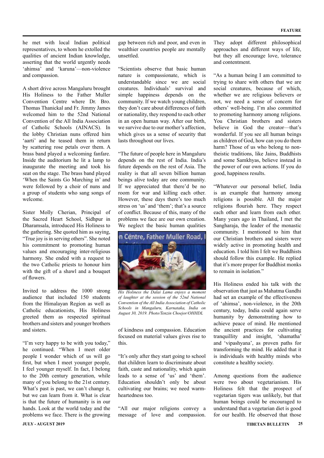he met with local Indian political representatives, to whom he extolled the qualities of ancient Indian knowledge, asserting that the world urgently needs 'ahimsa' and 'karuna'—non-violence and compassion.

A short drive across Mangaluru brought His Holiness to the Father Muller Convention Centre where Dr. Bro. Thomas Thanickal and Fr. Jimmy James welcomed him to the 52nd National Convention of the All India Association of Catholic Schools (AINACS). In the lobby Christian nuns offered him 'aarti' and he teased them in return by scattering rose petals over them. A brass band played a welcoming fanfare. Inside the auditorium he lit a lamp to inaugurate the meeting and took his seat on the stage. The brass band played 'When the Saints Go Marching in' and were followed by a choir of nuns and a group of students who sang songs of welcome.

Sister Molly Cherian, Principal of the Sacred Heart School, Sidhpur in Dharamsala, introduced His Holiness to the gathering. She quoted him as saying, "True joy is in serving others". She noted his commitment to promoting human values and encouraging inter-religious harmony. She ended with a request to the two Catholic priests to honour him with the gift of a shawl and a bouquet of flowers.

Invited to address the 1000 strong audience that included 150 students from the Himalayan Region as well as Catholic educationists, His Holiness greeted them as respected spiritual brothers and sisters and younger brothers and sisters.

"I'm very happy to be with you today," he continued. "When I meet older people I wonder which of us will go first, but when I meet younger people, I feel younger myself. In fact, I belong to the 20th century generation, while many of you belong to the 21st century. What's past is past, we can't change it, but we can learn from it. What is clear is that the future of humanity is in our hands. Look at the world today and the problems we face. There is the growing gap between rich and poor, and even in wealthier countries people are mentally unsettled.

"Scientists observe that basic human nature is compassionate, which is understandable since we are social creatures. Individuals' survival and simple happiness depends on the community. If we watch young children, they don't care about differences of faith or nationality, they respond to each other in an open human way. After our birth, we survive due to our mother's affection, which gives us a sense of security that lasts throughout our lives.

"The future of people here in Mangaluru depends on the rest of India. India's future depends on the rest of Asia. The reality is that all seven billion human beings alive today are one community. If we appreciated that there'd be no room for war and killing each other. However, these days there's too much stress on 'us' and 'them'; that's a source of conflict. Because of this, many of the problems we face are our own creation. We neglect the basic human qualities



*His Holiness the Dalai Lama enjoys a moment of laughter at the session of the 52nd National Convention of the All India Association of Catholic Schools in Mangaluru, Karnataka, India on August 30, 2019. Photo/Tenzin Choejor/OHHDL*

of kindness and compassion. Education focused on material values gives rise to this.

"It's only after they start going to school that children learn to discriminate about faith, caste and nationality, which again leads to a sense of 'us' and 'them'. Education shouldn't only be about cultivating our brains; we need warmheartedness too.

"All our major religions convey a message of love and compassion.

They adopt different philosophical approaches and different ways of life, but they all encourage love, tolerance and contentment.

"As a human being I am committed to trying to share with others that we are social creatures, because of which, whether we are religious believers or not, we need a sense of concern for others' well-being. I'm also committed to promoting harmony among religions. You Christian brothers and sisters believe in God the creator—that's wonderful. If you see all human beings as children of God, how can you do them harm? Those of us who belong to nontheistic traditions, like Jains, Buddhists and some Samkhyas, believe instead in the power of our own actions. If you do good, happiness results.

"Whatever our personal belief, India is an example that harmony among religions is possible. All the major religions flourish here. They respect each other and learn from each other. Many years ago in Thailand, I met the Sangharaja, the leader of the monastic community. I mentioned to him that our Christian brothers and sisters were widely active in promoting health and education. I told him I felt we Buddhists should follow this example. He replied that it's more proper for Buddhist monks to remain in isolation."

His Holiness ended his talk with the observation that just as Mahatma Gandhi had set an example of the effectiveness of 'ahimsa', non-violence, in the 20th century, today, India could again serve humanity by demonstrating how to achieve peace of mind. He mentioned the ancient practices for cultivating tranquillity and insight, 'shamatha' and 'vipashyana', as proven paths for transforming the mind. He added that it is individuals with healthy minds who constitute a healthy society.

Among questions from the audience were two about vegetarianism. His Holiness felt that the prospect of vegetarian tigers was unlikely, but that human beings could be encouraged to understand that a vegetarian diet is good for our health. He observed that those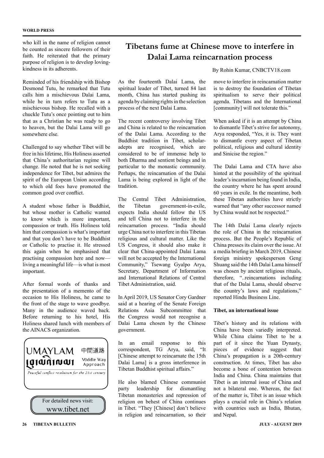who kill in the name of religion cannot be counted as sincere followers of their faith. He reiterated that the primary purpose of religion is to develop lovingkindness in its adherents.

Reminded of his friendship with Bishop Desmond Tutu, he remarked that Tutu calls him a mischievous Dalai Lama, while he in turn refers to Tutu as a mischievous bishop. He recalled with a chuckle Tutu's once pointing out to him that as a Christian he was ready to go to heaven, but the Dalai Lama will go somewhere else.

Challenged to say whether Tibet will be free in his lifetime, His Holiness asserted that China's authoritarian regime will change. He noted that he is not seeking independence for Tibet, but admires the spirit of the European Union according to which old foes have promoted the common good over conflict.

A student whose father is Buddhist, but whose mother is Catholic wanted to know which is more important compassion or truth. His Holiness told him that compassion is what's important and that you don't have to be Buddhist or Catholic to practise it. He stressed this again when he emphasised that practising compassion here and now living a meaningful life—is what is most important.

After formal words of thanks and the presentation of a memento of the occasion to His Holiness, he came to the front of the stage to wave goodbye. Many in the audience waved back. Before returning to his hotel, His Holiness shared lunch with members of the AINACS organization.



### **Tibetans fume at Chinese move to interfere in Dalai Lama reincarnation process**

As the fourteenth Dalai Lama, the spiritual leader of Tibet, turned 84 last month, China has started pushing its agenda by claiming rights in the selection process of the next Dalai Lama.

The recent controversy involving Tibet and China is related to the reincarnation of the Dalai Lama. According to the Buddhist tradition in Tibet, scholaradepts are recognised, which are considered to be of immense help to both Dharma and sentient beings and in particular to the monastic community. Perhaps, the reincarnation of the Dalai Lama is being explored in light of the tradition.

The Central Tibet Administration, the Tibetan government-in-exile, expects India should follow the US and tell China not to interfere in the reincarnation process. "India should urge China not to interfere in this Tibetan religious and cultural matter. Like the US Congress, it should also make it clear that China-appointed Dalai Lama will not be accepted by the International Community," Tsewang Gyalpo Arya, Secretary, Department of Information and International Relations of Central Tibet Administration, said.

In April 2019, US Senator Cory Gardner said at a hearing of the Senate Foreign Relations Asia Subcommittee that the Congress would not recognise a Dalai Lama chosen by the Chinese government.

In an email response to this correspondent, TG Arya, said, "It [Chinese attempt to reincarnate the 15th Dalai Lama] is a gross interference in Tibetan Buddhist spiritual affairs."

He also blamed Chinese communist party leadership for dismantling Tibetan monasteries and repression of religion on behest of China continues in Tibet. "They [Chinese] don't believe in religion and reincarnation, so their

move to interfere in reincarnation matter is to destroy the foundation of Tibetan spiritualism to serve their political agenda. Tibetans and the International [community] will not tolerate this." By Rohin Kumar, CNBCTV18.com

When asked if it is an attempt by China to dismantle Tibet's strive for autonomy, Arya responded, "Yes, it is. They want to dismantle every aspect of Tibetan political, religious and cultural identity and Sinicise the region."

The Dalai Lama and CTA have also hinted at the possibility of the spiritual leader's incarnation being found in India, the country where he has spent around 60 years in exile. In the meantime, both these Tibetan authorities have strictly warned that "any other successor named by China would not be respected."

The 14th Dalai Lama clearly rejects the role of China in the reincarnation process. But the People's Republic of China presses its claim over the issue. At a media briefing in March 2019, Chinese foreign ministry spokesperson Geng Shuang said the 14th Dalai Lama himself was chosen by ancient religious rituals, therefore, "..reincarnations including that of the Dalai Lama, should observe the country's laws and regulations," reported Hindu Business Line.

### **Tibet, an international issue**

Tibet's history and its relations with China have been variedly interpreted. While China claims Tibet to be a part of it since the Yuan Dynasty, pieces of evidence suggest that China's propagation is a 20th-century construction. At times. Tibet has also become a bone of contention between India and China. China maintains that Tibet is an internal issue of China and not a bilateral one. Whereas, the fact of the matter is, Tibet is an issue which plays a crucial role in China's relation with countries such as India, Bhutan, and Nepal.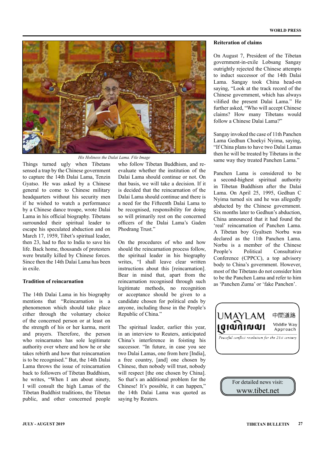

*His Holiness the Dalai Lama. File Image*

Things turned ugly when Tibetans sensed a trap by the Chinese government to capture the 14th Dalai Lama, Tenzin Gyatso. He was asked by a Chinese general to come to Chinese military headquarters without his security men if he wished to watch a performance by a Chinese dance troupe, wrote Dalai Lama in his official biography. Tibetans surrounded their spiritual leader to escape his speculated abduction and on March 17, 1959, Tibet's spiritual leader, then 23, had to flee to India to save his life. Back home, thousands of protesters were brutally killed by Chinese forces. Since then the 14th Dalai Lama has been in exile.

### **Tradition of reincarnation**

The 14th Dalai Lama in his biography mentions that "Reincarnation is a phenomenon which should take place either through the voluntary choice of the concerned person or at least on the strength of his or her karma, merit and prayers. Therefore, the person who reincarnates has sole legitimate authority over where and how he or she takes rebirth and how that reincarnation is to be recognised." But, the 14th Dalai Lama throws the issue of reincarnation back to followers of Tibetan Buddhism, he writes, "When I am about ninety, I will consult the high Lamas of the Tibetan Buddhist traditions, the Tibetan public, and other concerned people who follow Tibetan Buddhism, and reevaluate whether the institution of the Dalai Lama should continue or not. On that basis, we will take a decision. If it is decided that the reincarnation of the Dalai Lama should continue and there is a need for the Fifteenth Dalai Lama to be recognised, responsibility for doing so will primarily rest on the concerned officers of the Dalai Lama's Gaden Phodrang Trust."

On the procedures of who and how should the reincarnation process follow, the spiritual leader in his biography writes, "I shall leave clear written instructions about this [reincarnation]. Bear in mind that, apart from the reincarnation recognised through such legitimate methods, no recognition or acceptance should be given to a candidate chosen for political ends by anyone, including those in the People's Republic of China."

The spiritual leader, earlier this year, in an interview to Reuters, anticipated China's interference in foisting his successor. "In future, in case you see two Dalai Lamas, one from here [India], a free country, [and] one chosen by Chinese, then nobody will trust, nobody will respect [the one chosen by China]. So that's an additional problem for the Chinese! It's possible, it can happen," the 14th Dalai Lama was quoted as saying by Reuters.

#### **Reiteration of claims**

On August 7, President of the Tibetan government-in-exile Lobsang Sangay outrightly rejected the Chinese attempts to induct successor of the 14th Dalai Lama. Sangay took China head-on saying, "Look at the track record of the Chinese government, which has always vilified the present Dalai Lama." He further asked, "Who will accept Chinese claims? How many Tibetans would follow a Chinese Dalai Lama?"

Sangay invoked the case of 11th Panchen Lama Gedhun Choekyi Nyima, saying, "If China plans to have two Dalai Lamas then he will be treated by Tibetans in the same way they treated Panchen Lama."

Panchen Lama is considered to be a second-highest spiritual authority in Tibetan Buddhism after the Dalai Lama. On April 25, 1995, Gedhun C Nyima turned six and he was allegedly abducted by the Chinese government. Six months later to Gedhun's abduction, China announced that it had found the 'real' reincarnation of Panchen Lama. A Tibetan boy Gyaltsen Norbu was declared as the 11th Panchen Lama. Norbu is a member of the Chinese People's Political Consultative Conference (CPPCC), a top advisory body to China's government. However, most of the Tibetans do not consider him to be the Panchen Lama and refer to him as 'Panchen Zuma' or 'fake Panchen'.



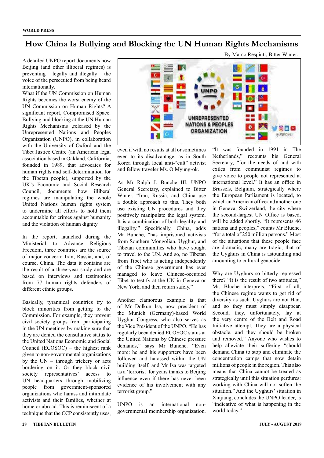### **How China Is Bullying and Blocking the UN Human Rights Mechanisms**

A detailed UNPO report documents how Beijing (and other illiberal regimes) is preventing – legally and illegally – the voice of the persecuted from being heard internationally.

What if the UN Commission on Human Rights becomes the worst enemy of the UN Commission on Human Rights? A significant report, Compromised Space: Bullying and blocking at the UN Human Rights Mechanisms ,released by the Unrepresented Nations and Peoples Organization (UNPO), in collaboration with the University of Oxford and the Tibet Justice Centre (an American legal association based in Oakland, California, founded in 1989, that advocates for human rights and self-determination for the Tibetan people), supported by the UK's Economic and Social Research Council, documents how illiberal regimes are manipulating the whole United Nations human rights system to undermine all efforts to hold them accountable for crimes against humanity and the violation of human dignity.

In the report, launched during the Ministerial to Advance Religious Freedom, three countries are the source of major concern: Iran, Russia, and, of course, China. The data it contains are the result of a three-year study and are based on interviews and testimonies from 77 human rights defenders of different ethnic groups.

Basically, tyrannical countries try to block minorities from getting to the Commission. For example, they prevent civil society groups from participating in the UN meetings by making sure that they are denied the consultative status to the United Nations Economic and Social Council (ECOSOC) – the highest rank given to non-governmental organizations by the UN – through trickery or acts bordering on it. Or they block civil society representatives' access to UN headquarters through mobilizing people from government-sponsored organizations who harass and intimidate activists and their families, whether at home or abroad. This is reminiscent of a technique that the CCP consistently uses,



Korea through local anti-"cult" activist and fellow traveler Ms. O Myung-ok.

As Mr Ralph J. Bunche III, UNPO General Secretary, explained to Bitter Winter, "Iran, Russia, and China use a double approach to this. They both use existing UN procedures and they positively manipulate the legal system. It is a combination of both legality and illegality." Specifically, China, adds Mr Bunche, "has imprisoned activists from Southern Mongolian, Uyghur, and Tibetan communities who have sought to travel to the UN. And so, no Tibetan from Tibet who is acting independently of the Chinese government has ever managed to leave Chinese-occupied Tibet to testify at the UN in Geneva or New York, and then return safely."

Another clamorous example is that of Mr Dolkun Isa, now president of the Munich (Germany)-based World Uyghur Congress, who also serves as the Vice President of the UNPO. "He has regularly been denied ECOSOC status at the United Nations by Chinese pressure demands," says Mr Bunche. "Even more: he and his supporters have been followed and harassed within the UN building itself, and Mr Isa was targeted as a 'terrorist' for years thanks to Beijing influence even if there has never been evidence of his involvement with any terrorist group."

UNPO is an international nongovernmental membership organization. Netherlands," recounts his General Secretary, "for the needs of and with exiles from communist regimes to give voice to people not represented at international level." It has an office in Brussels, Belgium, strategically where the European Parliament is located, to which an American office and another one in Geneva, Switzerland, the city where the second-largest UN Office is based, will be added shortly. "It represents 46 nations and peoples," counts Mr Bluche, "for a total of 250 million persons." Most of the situations that these people face are dramatic, many are tragic; that of the Uyghurs in China is astounding and amounting to cultural genocide.

By Marco Respinti, Bitter Winter.

Why are Uyghurs so bitterly repressed there? "It is the result of two attitudes," Mr. Bluche interprets. "First of all, the Chinese regime wants to get rid of diversity as such. Uyghurs are not Han, and so they must simply disappear. Second, they, unfortunately, lay at the very centre of the Belt and Road Initiative attempt. They are a physical obstacle, and they should be broken and removed." Anyone who wishes to help alleviate their suffering "should demand China to stop and eliminate the concentration camps that now detain millions of people in the region. This also means that China cannot be treated as strategically until this situation perdures: working with China will not soften the situation." And the Uyghurs' situation in Xinjiang, concludes the UNPO leader, is "indicative of what is happening in the world today."

**28 TIBETAN BULLETIN JULY - AUGUST 2019**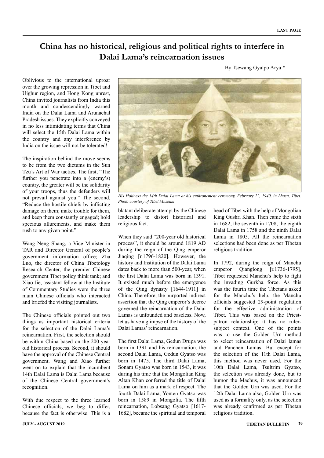### **China has no historical, religious and political rights to interfere in Dalai Lama's reincarnation issues**

By Tsewang Gyalpo Arya \*

Oblivious to the international uproar over the growing repression in Tibet and Uighur region, and Hong Kong unrest, China invited journalists from India this month and condescendingly warned India on the Dalai Lama and Arunachal Pradesh issues. They explicitly conveyed in no less intimidating terms that China will select the 15th Dalai Lama within the country and any interference by India on the issue will not be tolerated!

The inspiration behind the move seems to be from the two dictums in the Sun Tzu's Art of War tactics. The first, "The further you penetrate into a (enemy's) country, the greater will be the solidarity of your troops, thus the defenders will not prevail against you." The second, "Reduce the hostile chiefs by inflicting damage on them; make trouble for them, and keep them constantly engaged; hold specious allurements, and make them rush to any given point."

Wang Neng Shang, a Vice Minister in TAR and Director General of people's government information office; Zha Luo, the director of China Tibetology Research Center, the premier Chinese government Tibet policy think tank; and Xiao Jie, assistant fellow at the Institute of Commentary Studies were the three main Chinese officials who interacted and briefed the visiting journalists.

The Chinese officials pointed out two things as important historical criteria for the selection of the Dalai Lama's reincarnation. First, the selection should be within China based on the 200-year old historical process. Second, it should have the approval of the Chinese Central government. Wang and Xiao further went on to explain that the incumbent 14th Dalai Lama is Dalai Lama because of the Chinese Central government's recognition.

With due respect to the three learned Chinese officials, we beg to differ, because the fact is otherwise. This is a



*His Holiness the 14th Dalai Lama at his enthronement ceremony, February 22, 1940, in Lhasa, Tibet. Photo courtesy of Tibet Museum*

blatant deliberate attempt by the Chinese leadership to distort historical and religious fact.

When they said "200-year old historical process", it should be around 1819 AD during the reign of the Qing emperor Jiaqing [r.1796-1820]. However, the history and Institution of the Dalai Lama dates back to more than 500-year, when the first Dalai Lama was born in 1391. It existed much before the emergence of the Qing dynasty [1644-1911] in China. Therefore, the purported indirect assertion that the Qing emperor's decree governed the reincarnation of the Dalai Lamas is unfounded and baseless. Now, let us have a glimpse of the history of the Dalai Lamas' reincarnation.

The first Dalai Lama, Gedun Drupa was born in 1391 and his reincarnation, the second Dalai Lama, Gedun Gyatso was born in 1475. The third Dalai Lama, Sonam Gyatso was born in 1543, it was during his time that the Mongolian King Altan Khan conferred the title of Dalai Lama on him as a mark of respect. The fourth Dalai Lama, Yonten Gyatso was born in 1589 in Mongolia. The fifth reincarnation, Lobsang Gyatso [1617- 1682], became the spiritual and temporal head of Tibet with the help of Mongolian King Gushri Khan. Then came the sixth in 1682, the seventh in 1708, the eighth Dalai Lama in 1758 and the ninth Dalai Lama in 1805. All the reincarnation selections had been done as per Tibetan religious tradition.

In 1792, during the reign of Manchu emperor Qianglong [r.1736-1795], Tibet requested Manchu's help to fight the invading Gurkha force. As this was the fourth time the Tibetans asked for the Manchu's help, the Manchu officials suggested 29-point regulation for the effective administration of Tibet. This was based on the Priestpatron relationship; it has no rulersubject context. One of the points was to use the Golden Urn method to select reincarnation of Dalai lamas and Panchen Lamas. But except for the selection of the 11th Dalai Lama, this method was never used. For the 10th Dalai Lama, Tsultrim Gyatso, the selection was already done, but to humor the Machus, it was announced that the Golden Urn was used. For the 12th Dalai Lama also, Golden Urn was used as a formality only, as the selection was already confirmed as per Tibetan religious tradition.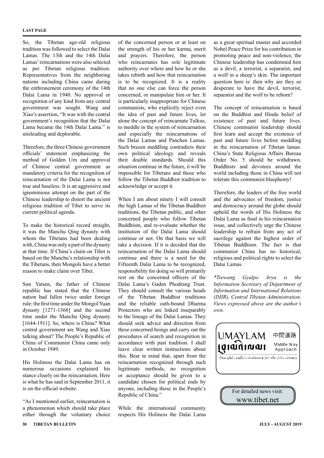So, the Tibetan age-old religious tradition was followed to select the Dalai Lamas. The 13th and the 14th Dalai Lamas' reincarnations were also selected as per Tibetan religious tradition. Representatives from the neighboring nations including China came during the enthronement ceremony of the 14th Dalai Lama in 1940. No approval or recognition of any kind from any central government was sought. Wang and Xiao's assertion, "It was with the central government's recognition that the Dalai Lama became the 14th Dalai Lama." is misleading and deplorable.

Therefore, the three Chinese government officials' statement emphasizing the method of Golden Urn and approval of Chinese central government as mandatory criteria for the recognition of reincarnation of the Dalai Lama is not true and baseless. It is an aggressive and ignominious attempt on the part of the Chinese leadership to distort the ancient religious tradition of Tibet to serve its current political agenda.

To make the historical record straight, it was the Manchu Qing dynasty with whom the Tibetans had been dealing with, China was only a part of the dynasty at that time. If China's claim on Tibet is based on the Manchu's relationship with the Tibetans, then Mongols have a better reason to make claim over Tibet.

Sun Yatsen, the father of Chinese republic has stated that the Chinese nation had fallen twice under foreign rule: the first time under the Mongol Yuan dynasty [1271-1368] and the second time under the Manchu Qing dynasty [1644-1911]. So, where is China? What central government are Wang and Xiao talking about? The People's Republic of China of Communist China came only in October 1949.

His Holiness the Dalai Lama has on numerous occasions explained his stance clearly on the reincarnation. Here is what he has said in September 2011, it is on the official website:

"As I mentioned earlier, reincarnation is a phenomenon which should take place either through the voluntary choice of the concerned person or at least on the strength of his or her karma, merit and prayers. Therefore, the person who reincarnates has sole legitimate authority over where and how he or she takes rebirth and how that reincarnation is to be recognized. It is a reality that no one else can force the person concerned, or manipulate him or her. It is particularly inappropriate for Chinese communists, who explicitly reject even the idea of past and future lives, let alone the concept of reincarnate Tulkus, to meddle in the system of reincarnation and especially the reincarnations of the Dalai Lamas and Panchen Lamas. Such brazen meddling contradicts their own political ideology and reveals their double standards. Should this situation continue in the future, it will be impossible for Tibetans and those who follow the Tibetan Buddhist tradition to acknowledge or accept it.

When I am about ninety I will consult the high Lamas of the Tibetan Buddhist traditions, the Tibetan public, and other concerned people who follow Tibetan Buddhism, and re-evaluate whether the institution of the Dalai Lama should continue or not. On that basis we will take a decision. If it is decided that the reincarnation of the Dalai Lama should continue and there is a need for the Fifteenth Dalai Lama to be recognized, responsibility for doing so will primarily rest on the concerned officers of the Dalai Lama's Gaden Phodrang Trust. They should consult the various heads of the Tibetan Buddhist traditions and the reliable oath-bound Dharma Protectors who are linked inseparably to the lineage of the Dalai Lamas. They should seek advice and direction from these concerned beings and carry out the procedures of search and recognition in accordance with past tradition. I shall leave clear written instructions about this. Bear in mind that, apart from the reincarnation recognized through such legitimate methods, no recognition or acceptance should be given to a candidate chosen for political ends by anyone, including those in the People's Republic of China."

While the international community respects His Holiness the Dalai Lama

as a great spiritual master and accorded Nobel Peace Prize for his contribution in promoting peace and non-violence, the Chinese leadership has condemned him as a devil, a terrorist, a separatist, and a wolf in a sheep's skin. The important question here is: then why are they so desperate to have the devil, terrorist, separatist and the wolf to be reborn?

The concept of reincarnation is based on the Buddhist and Hindu belief of existence of past and future lives. Chinese communist leadership should first learn and accept the existence of past and future lives before meddling in the reincarnation of Tibetan lamas. China's State Religious Affairs Bureau Order No. 5 should be withdrawn. Buddhists and devotees around the world including those in China will not tolerate this communist blasphemy!

Therefore, the leaders of the free world and the advocates of freedom, justice and democracy around the globe should uphold the words of His Holiness the Dalai Lama as final in his reincarnation issue, and collectively urge the Chinese leadership to refrain from any act of sacrilege against the highest order of Tibetan Buddhism. The fact is that communist China has no historical, religious and political rights to select the Dalai Lamas.

*\*Tsewang Gyalpo Arya is the Information Secretary of Department of Information and International Relations (DIIR), Central Tibetan Administration. Views expressed above are the author's own.*

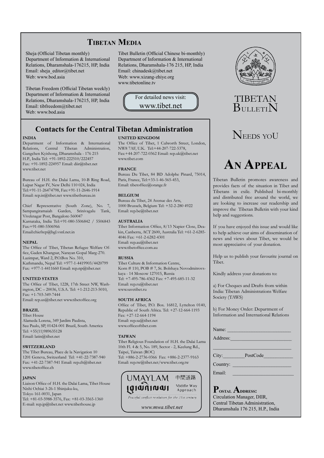## **Tibetan Media**

Sheja (Official Tibetan monthly) Department of Information & International Relations, Dharamshala-176215, HP, India Email: sheja\_editor@tibet.net Web: www.bod.asia

Tibetan Freedom (Official Tibetan weekly) Department of Information & International Relations, Dharamshala-176215, HP, India Email: tibfreedom@tibet.net Web: www.bod.asia

Tibet Bulletin (Official Chinese bi-monthly) Department of Information & International Relations, Dharamshala-176 215, HP, India Email: chinadesk@tibet.net Web: www.xizang-zhiye.org www.tibetonline.tv





# TIBETAN **BULLETIN**

### **Contacts for the Central Tibetan Administration**

### **INDIA**

Department of Information & International Relations, Central Tibetan Administration, Gangchen Kyishong, Dharamshala - 176 215 H.P., India Tel: +91-1892-222510/222457 Fax: +91-1892-224957 Email: diir@tibet.net www.tibet.net

Bureau of H.H. the Dalai Lama, 10-B Ring Road, Lajpat Nagar IV, New Delhi 110 024, India Tel:+91-11-26474798, Fax:+91-11-2646-1914 Email: rep.in@tibet.net www.tibetbureau.in

Chief Representative (South Zone), No. 7, Sampangiramaiah Garden, Srinivagalu Tank, Viveknagar Post, Bangalore-560047 Karnataka, India Tel:+91-080-5506842 / 5506843 Fax:+91-080-5506966 Email:chiefrep@bgl.vsnl.net.in

#### **NEPAL**

The Office of Tibet, Tibetan Refugee Welfare Office, Gaden Khangsar, Narayan Gopal Marg-270. Lazimpat, Ward 2, P.O.Box No. 310, Kathmandu, Nepal Tel: +977-1-4419903/4420799 Fax: +977-1-4411660 Email: rep.np@tibet.net

#### **UNITED STATES**

The Office of Tibet, 1228, 17th Street NW, Washington, DC – 20036, U.S.A. Tel: +1-212-213-5010, Fax: +1-703-349-7444 Email: rep.us@tibet.net www.tibetoffice.org

### **BRAZIL**

Tibet House Alameda Lorena, 349 Jardim Paulista, Sau Paulo, SP, 01424-001 Brazil, South America Tel: +55(11)989635128 Email: latin@tibet.net

### **SWITZERLAND**

The Tibet Bureau, Place de la Navigation 10 1201 Geneva, Switzerland Tel: +41-22-7387-940 Fax: +41-22-7387-941 Email: rep.ch@tibet.net www.tibetoffice.ch

### **JAPAN**

Liaison Office of H.H. the Dalai Lama, Tibet House Nishi Ochiai 3-26-1 Shinjuku-ku, Tokyo 161-0031, Japan Tel: +81-03-5988-3576, Fax: +81-03-3565-1360 E-mail: rep.jp@tibet.net www.tibethouse.jp

### **UNITED KINGDOM**

The Office of Tibet, 1 Culworth Street, London, NW8 7AF, U.K. Tel:+44-207-722-5378, Fax:+44-207-722-0362 Email: rep.uk@tibet.net www.tibet.com

#### **FRANCE**

Bureau Du Tibet, 84 BD Adolphe Pinard, 75014, Paris, France, Tel:+33-1-46-565-453, Email: tibetoffice@orange.fr

#### **BELGIUM**

Bureau du Tibet, 24 Avenue des Arts, 1000 Brussels, Belgium Tel: +32-2-280 4922 Email: rep.be@tibet.net

#### **AUSTRALIA**

Tibet Information Office, 8/13 Napier Close, Deakin, Canberra, ACT 2600, Australia Tel: +61-2-6285- 4046 Fax: +61-2-6282-4301 Email: rep.au@tibet.net www.tibetoffice.com.au

### **RUSSIA**

Tibet Culture & Information Centre, Korn # 110, POB # 7, St. Bolshaya Novodmitrovskaya - 14 Moscow 127015, Russia Tel: +7-495-786-4362 Fax: +7-495-685-11-32 Email: rep.ru@tibet.net www.savetibet.ru

### **SOUTH AFRICA**

Office of Tibet, P.O. Box. 16812, Lyttelton 0140, Republic of South Africa. Tel: +27-12-664-1193 Fax: +27-12-664-1194 Email: rep.sa@tibet.net www.officeoftibet.com

### **TAIWAN**

Tibet Religious Foundation of H.H. the Dalai Lama 10th Fl. 4 & 5, No. 189, Sector - 2, Keelung Rd., Taipei, Taiwan (ROC) Tel: +886-2-2736-0366 Fax: +886-2-2377-9163 Email: rep.tw@tibet.net/www.tibet.org.tw



*www.mwa.tibet.net*



# **An Appeal**

Tibetan Bulletin promotes awareness and provides facts of the situation in Tibet and Tibetans in exile. Published bi-monthly and distributed free around the world, we are looking to increase our readership and improve the Tibetan Bulletin with your kind help and suggestions.

If you have enjoyed this issue and would like to help achieve our aims of dissemination of news and views about Tibet, we would be most appreciative of your donation.

Help us to publish your favourite journal on Tibet.

Kindly address your donations to:

a) For Cheques and Drafts from within India: Tibetan Administrations Welfare Society (TAWS)

b) For Money Order: Department of Information and International Relations

\_\_\_\_\_\_\_\_\_\_\_\_\_\_\_\_\_\_\_\_\_\_\_\_\_\_\_\_\_\_\_\_

Name:

Address:

City:\_\_\_\_\_\_\_\_\_PostCode\_\_\_\_\_\_\_\_\_\_\_\_

Country:

Email: \_\_\_\_\_\_\_\_\_\_\_\_\_\_\_\_\_\_\_\_\_\_\_\_\_

P<sub>OSTAL</sub> ADDRESS: Circulation Manager, DIIR, Central Tibetan Administration, Dharamshala 176 215, H.P., India